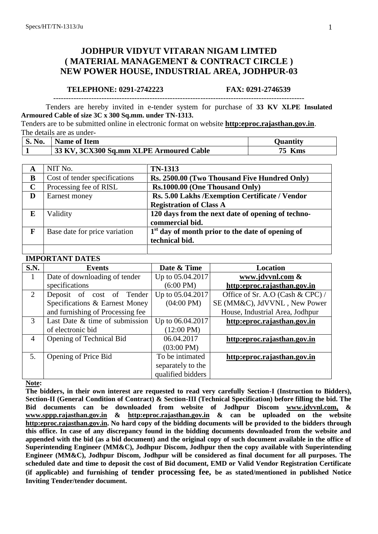# **JODHPUR VIDYUT VITARAN NIGAM LIMTED ( MATERIAL MANAGEMENT & CONTRACT CIRCLE ) NEW POWER HOUSE, INDUSTRIAL AREA, JODHPUR-03**

#### **TELEPHONE: 0291-2742223 FAX: 0291-2746539**

Tenders are hereby invited in e-tender system for purchase of **33 KV XLPE Insulated Armoured Cable of size 3C x 300 Sq.mm. under TN-1313.**

Tenders are to be submitted online in electronic format on website **[http:eproc.rajasthan.gov.in](http://www.eproc.rajasthan.gov.in/nicgep/app)**. The details are as under-

---------------------------------------------------------------------------------------------------

| <b>S. No.</b> | Name of Item                            | Ouantitv      |
|---------------|-----------------------------------------|---------------|
|               | 33 KV, 3CX300 Sq.mm XLPE Armoured Cable | <b>75 Kms</b> |

| A           | NIT No.                       | <b>TN-1313</b>                                     |
|-------------|-------------------------------|----------------------------------------------------|
| B           | Cost of tender specifications | Rs. 2500.00 (Two Thousand Five Hundred Only)       |
| $\mathbf C$ | Processing fee of RISL        | Rs.1000.00 (One Thousand Only)                     |
| D           | Earnest money                 | Rs. 5.00 Lakhs / Exemption Certificate / Vendor    |
|             |                               | <b>Registration of Class A</b>                     |
| E           | Validity                      | 120 days from the next date of opening of techno-  |
|             |                               | commercial bid.                                    |
| F           | Base date for price variation | $1st$ day of month prior to the date of opening of |
|             |                               | technical bid.                                     |
|             |                               |                                                    |

# **IMPORTANT DATES**

| S.N. | <b>Events</b>                    | Date & Time          | <b>Location</b>                  |
|------|----------------------------------|----------------------|----------------------------------|
|      | Date of downloading of tender    | Up to 05.04.2017     | www.jdvvnl.com &                 |
|      | specifications                   | $(6:00 \text{ PM})$  | http:eproc.rajasthan.gov.in      |
| 2    | Deposit of cost of<br>Tender     | Up to 05.04.2017     | Office of Sr. A.O (Cash & CPC) / |
|      | Specifications & Earnest Money   | $(04:00 \text{ PM})$ | SE (MM&C), JdVVNL, New Power     |
|      | and furnishing of Processing fee |                      | House, Industrial Area, Jodhpur  |
| 3    | Last Date & time of submission   | Up to 06.04.2017     | http:eproc.rajasthan.gov.in      |
|      | of electronic bid                | $(12:00 \text{ PM})$ |                                  |
| 4    | Opening of Technical Bid         | 06.04.2017           | http:eproc.rajasthan.gov.in      |
|      |                                  | $(03:00 \text{ PM})$ |                                  |
| 5.   | Opening of Price Bid             | To be intimated      | http:eproc.rajasthan.gov.in      |
|      |                                  | separately to the    |                                  |
|      |                                  | qualified bidders    |                                  |

**Note:** 

**The bidders, in their own interest are requested to read very carefully Section-I (Instruction to Bidders), Section-II (General Condition of Contract) & Section-III (Technical Specification) before filling the bid. The Bid documents can be downloaded from website of Jodhpur Discom [www.jdvvnl.com,](http://www.jdvvnl.com/) & [www.sppp.rajasthan.gov.in](http://www.sppp.raj.nic.in/) & [http:eproc.rajasthan.gov.in](Specs%20Section-III%20.doc) & can be uploaded on the website [http:eproc.rajasthan.gov.in.](file:\\192.168.16.65\sk%20bhati%20sir\d\S%20K%20Bhati%20c%20drive\ss\SKB\Bhati-08\TN-937%20Onwards%20(2013-14)\TN-943%2033%20KV%20Pin%20Insulator\Specs%20Section-III%20.doc) No hard copy of the bidding documents will be provided to the bidders through this office. In case of any discrepancy found in the bidding documents downloaded from the website and appended with the bid (as a bid document) and the original copy of such document available in the office of Superintending Engineer (MM&C), Jodhpur Discom, Jodhpur then the copy available with Superintending Engineer (MM&C), Jodhpur Discom, Jodhpur will be considered as final document for all purposes. The scheduled date and time to deposit the cost of Bid document, EMD or Valid Vendor Registration Certificate (if applicable) and furnishing of tender processing fee, be as stated/mentioned in published Notice Inviting Tender/tender document.**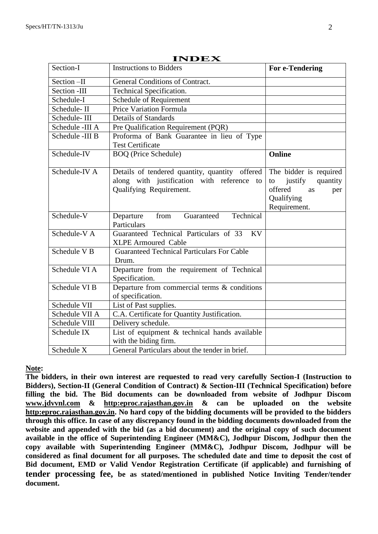|                                                                                    | LINDEA                                                                                                                  |                                                                                                           |  |
|------------------------------------------------------------------------------------|-------------------------------------------------------------------------------------------------------------------------|-----------------------------------------------------------------------------------------------------------|--|
| Section-I                                                                          | <b>Instructions to Bidders</b>                                                                                          | For e-Tendering                                                                                           |  |
| Section-II                                                                         | General Conditions of Contract.                                                                                         |                                                                                                           |  |
| Section -III                                                                       | Technical Specification.                                                                                                |                                                                                                           |  |
| Schedule-I                                                                         | Schedule of Requirement                                                                                                 |                                                                                                           |  |
| Schedule-II                                                                        | Price Variation Formula                                                                                                 |                                                                                                           |  |
| Schedule-III                                                                       | <b>Details of Standards</b>                                                                                             |                                                                                                           |  |
| Schedule -III A                                                                    | Pre Qualification Requirement (PQR)                                                                                     |                                                                                                           |  |
| Schedule -III B                                                                    | Proforma of Bank Guarantee in lieu of Type<br><b>Test Certificate</b>                                                   |                                                                                                           |  |
| Schedule-IV                                                                        | <b>BOQ</b> (Price Schedule)                                                                                             | Online                                                                                                    |  |
| Schedule-IV A                                                                      | Details of tendered quantity, quantity offered<br>along with justification with reference to<br>Qualifying Requirement. | The bidder is required<br>quantity<br>justify<br>to<br>offered<br>as<br>per<br>Qualifying<br>Requirement. |  |
| Schedule-V                                                                         | from<br>Technical<br>Departure<br>Guaranteed<br>Particulars                                                             |                                                                                                           |  |
| Schedule-V A                                                                       | Guaranteed Technical Particulars of 33<br><b>KV</b><br><b>XLPE Armoured Cable</b>                                       |                                                                                                           |  |
| Schedule V B                                                                       | <b>Guaranteed Technical Particulars For Cable</b><br>Drum.                                                              |                                                                                                           |  |
| Schedule VI A                                                                      | Departure from the requirement of Technical<br>Specification.                                                           |                                                                                                           |  |
| Schedule VI B<br>Departure from commercial terms & conditions<br>of specification. |                                                                                                                         |                                                                                                           |  |
| Schedule VII                                                                       | List of Past supplies.                                                                                                  |                                                                                                           |  |
| Schedule VII A                                                                     | C.A. Certificate for Quantity Justification.                                                                            |                                                                                                           |  |
| Schedule VIII                                                                      | Delivery schedule.                                                                                                      |                                                                                                           |  |
| Schedule IX                                                                        | List of equipment & technical hands available<br>with the biding firm.                                                  |                                                                                                           |  |
| Schedule X                                                                         | General Particulars about the tender in brief.                                                                          |                                                                                                           |  |

**INDEX**

**Note:** 

**The bidders, in their own interest are requested to read very carefully Section-I (Instruction to Bidders), Section-II (General Condition of Contract) & Section-III (Technical Specification) before filling the bid. The Bid documents can be downloaded from website of Jodhpur Discom www.jdvvnl.com & [http:eproc.rajasthan.gov.in](Specs%20Section-III%20.doc) & can be uploaded on the website [http:eproc.rajasthan.gov.in.](file:\\192.168.16.65\sk%20bhati%20sir\d\S%20K%20Bhati%20c%20drive\ss\SKB\Bhati-08\TN-937%20Onwards%20(2013-14)\TN-943%2033%20KV%20Pin%20Insulator\Specs%20Section-III%20.doc) No hard copy of the bidding documents will be provided to the bidders through this office. In case of any discrepancy found in the bidding documents downloaded from the website and appended with the bid (as a bid document) and the original copy of such document available in the office of Superintending Engineer (MM&C), Jodhpur Discom, Jodhpur then the copy available with Superintending Engineer (MM&C), Jodhpur Discom, Jodhpur will be considered as final document for all purposes. The scheduled date and time to deposit the cost of Bid document, EMD or Valid Vendor Registration Certificate (if applicable) and furnishing of tender processing fee, be as stated/mentioned in published Notice Inviting Tender/tender document.**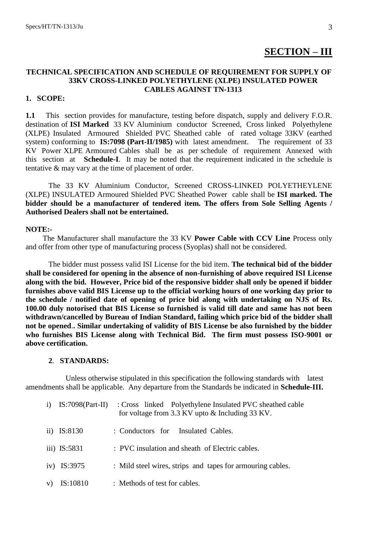# **SECTION – III**

# **TECHNICAL SPECIFICATION AND SCHEDULE OF REQUIREMENT FOR SUPPLY OF 33KV CROSS-LINKED POLYETHYLENE (XLPE) INSULATED POWER CABLES AGAINST TN-1313**

#### **1. SCOPE:**

**1.1** This section provides for manufacture, testing before dispatch, supply and delivery F.O.R. destination of **ISI Marked** 33 KV Aluminium conductor Screened, Cross linked Polyethylene (XLPE) Insulated Armoured Shielded PVC Sheathed cable of rated voltage 33KV (earthed system) conforming to **IS:7098 (Part-II/1985)** with latest amendment. The requirement of 33 KV Power XLPE Armoured Cables shall be as per schedule of requirement Annexed with this section at **Schedule-I**. It may be noted that the requirement indicated in the schedule is tentative & may vary at the time of placement of order.

The 33 KV Aluminium Conductor, Screened CROSS-LINKED POLYETHEYLENE (XLPE) INSULATED Armoured Shielded PVC Sheathed Power cable shall be **ISI marked. The bidder should be a manufacturer of tendered item. The offers from Sole Selling Agents / Authorised Dealers shall not be entertained.**

#### **NOTE:-**

 The Manufacturer shall manufacture the 33 KV **Power Cable with CCV Line** Process only and offer from other type of manufacturing process (Syoplas) shall not be considered.

The bidder must possess valid ISI License for the bid item. **The technical bid of the bidder shall be considered for opening in the absence of non-furnishing of above required ISI License along with the bid. However, Price bid of the responsive bidder shall only be opened if bidder furnishes above valid BIS License up to the official working hours of one working day prior to the schedule / notified date of opening of price bid along with undertaking on NJS of Rs. 100.00 duly notorised that BIS License so furnished is valid till date and same has not been withdrawn/cancelled by Bureau of Indian Standard, failing which price bid of the bidder shall not be opened**.**. Similar undertaking of validity of BIS License be also furnished by the bidder who furnishes BIS License along with Technical Bid. The firm must possess ISO-9001 or above certification.**

# **2**. **STANDARDS:**

 Unless otherwise stipulated in this specification the following standards with latest amendments shall be applicable. Any departure from the Standards be indicated in **Schedule-III.**

|  | $i)$ IS:7098(Part-II) | : Cross linked Polyethylene Insulated PVC sheathed cable<br>for voltage from 3.3 KV upto & Including 33 KV. |
|--|-----------------------|-------------------------------------------------------------------------------------------------------------|
|  | ii) $IS:8130$         | : Conductors for Insulated Cables.                                                                          |
|  | iii) IS:5831          | : PVC insulation and sheath of Electric cables.                                                             |
|  | iv) IS:3975           | : Mild steel wires, strips and tapes for armouring cables.                                                  |
|  | IS:10810              | : Methods of test for cables.                                                                               |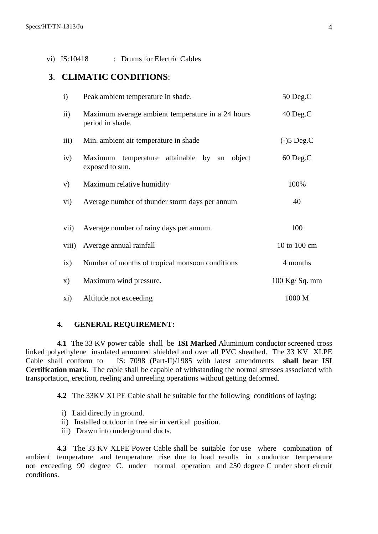## vi) IS:10418 : Drums for Electric Cables

# **3**. **CLIMATIC CONDITIONS**:

| $\mathbf{i}$        | Peak ambient temperature in shade.                                    | 50 Deg.C                    |
|---------------------|-----------------------------------------------------------------------|-----------------------------|
| $\ddot{\mathbf{i}}$ | Maximum average ambient temperature in a 24 hours<br>period in shade. | 40 Deg.C                    |
| iii)                | Min. ambient air temperature in shade                                 | $(-)5 \text{ Deg}.\text{C}$ |
| iv)                 | Maximum temperature attainable by an object<br>exposed to sun.        | 60 Deg.C                    |
| V)                  | Maximum relative humidity                                             | 100%                        |
| vi)                 | Average number of thunder storm days per annum                        | 40                          |
| vii)                | Average number of rainy days per annum.                               | 100                         |
| viii)               | Average annual rainfall                                               | 10 to 100 cm                |
| ix)                 | Number of months of tropical monsoon conditions                       | 4 months                    |
| X)                  | Maximum wind pressure.                                                | $100$ Kg/Sq. mm             |
| xi)                 | Altitude not exceeding                                                | 1000 M                      |

#### **4. GENERAL REQUIREMENT:**

**4.1** The 33 KV power cable shall be **ISI Marked** Aluminium conductor screened cross linked polyethylene insulated armoured shielded and over all PVC sheathed. The 33 KV XLPE Cable shall conform to IS: 7098 (Part-II)/1985 with latest amendments **shall bear ISI Certification mark.** The cable shall be capable of withstanding the normal stresses associated with transportation, erection, reeling and unreeling operations without getting deformed.

**4.2** The 33KV XLPE Cable shall be suitable for the following conditions of laying:

- i) Laid directly in ground.
- ii) Installed outdoor in free air in vertical position.
- iii) Drawn into underground ducts.

**4.3** The 33 KV XLPE Power Cable shall be suitable for use where combination of ambient temperature and temperature rise due to load results in conductor temperature not exceeding 90 degree C. under normal operation and 250 degree C under short circuit conditions.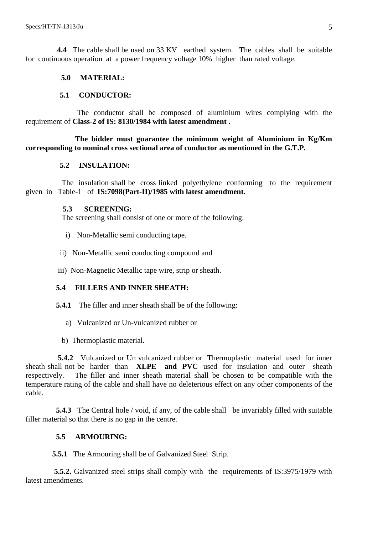**4.4** The cable shall be used on 33 KV earthed system. The cables shall be suitable for continuous operation at a power frequency voltage 10% higher than rated voltage.

# **5.0 MATERIAL:**

# **5.1 CONDUCTOR:**

 The conductor shall be composed of aluminium wires complying with the requirement of **Class-2 of IS: 8130/1984 with latest amendment** .

 **The bidder must guarantee the minimum weight of Aluminium in Kg/Km corresponding to nominal cross sectional area of conductor as mentioned in the G.T.P.**

# **5.2 INSULATION:**

 The insulation shall be cross linked polyethylene conforming to the requirement given in Table-1 of **IS:7098(Part-II)/1985 with latest amendment.**

#### **5.3 SCREENING:**

The screening shall consist of one or more of the following:

- i) Non-Metallic semi conducting tape.
- ii) Non-Metallic semi conducting compound and
- iii) Non-Magnetic Metallic tape wire, strip or sheath.

# **5.4 FILLERS AND INNER SHEATH:**

- **5.4.1** The filler and inner sheath shall be of the following:
	- a) Vulcanized or Un-vulcanized rubber or
	- b) Thermoplastic material.

 **5.4.2** Vulcanized or Un vulcanized rubber or Thermoplastic material used for inner sheath shall not be harder than **XLPE and PVC** used for insulation and outer sheath respectively. The filler and inner sheath material shall be chosen to be compatible with the temperature rating of the cable and shall have no deleterious effect on any other components of the cable.

**5.4.3** The Central hole / void, if any, of the cable shall be invariably filled with suitable filler material so that there is no gap in the centre.

# **5.5 ARMOURING:**

**5.5.1** The Armouring shall be of Galvanized Steel Strip.

 **5.5.2.** Galvanized steel strips shall comply with the requirements of IS:3975/1979 with latest amendments.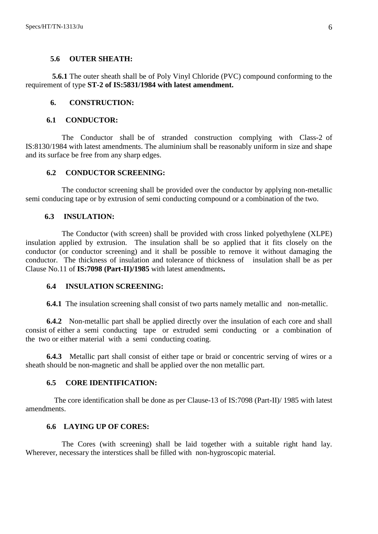#### **5.6 OUTER SHEATH:**

 **5.6.1** The outer sheath shall be of Poly Vinyl Chloride (PVC) compound conforming to the requirement of type **ST-2 of IS:5831/1984 with latest amendment.**

#### **6. CONSTRUCTION:**

#### **6.1 CONDUCTOR:**

 The Conductor shall be of stranded construction complying with Class-2 of IS:8130/1984 with latest amendments. The aluminium shall be reasonably uniform in size and shape and its surface be free from any sharp edges.

## **6.2 CONDUCTOR SCREENING:**

 The conductor screening shall be provided over the conductor by applying non-metallic semi conducing tape or by extrusion of semi conducting compound or a combination of the two.

#### **6.3 INSULATION:**

 The Conductor (with screen) shall be provided with cross linked polyethylene (XLPE) insulation applied by extrusion. The insulation shall be so applied that it fits closely on the conductor (or conductor screening) and it shall be possible to remove it without damaging the conductor. The thickness of insulation and tolerance of thickness of insulation shall be as per Clause No.11 of **IS:7098 (Part-II)/1985** with latest amendments**.**

#### **6.4 INSULATION SCREENING:**

**6.4.1** The insulation screening shall consist of two parts namely metallic and non-metallic.

 **6.4.2** Non-metallic part shall be applied directly over the insulation of each core and shall consist of either a semi conducting tape or extruded semi conducting or a combination of the two or either material with a semi conducting coating.

 **6.4.3** Metallic part shall consist of either tape or braid or concentric serving of wires or a sheath should be non-magnetic and shall be applied over the non metallic part.

### **6.5 CORE IDENTIFICATION:**

 The core identification shall be done as per Clause-13 of IS:7098 (Part-II)/ 1985 with latest amendments.

# **6.6 LAYING UP OF CORES:**

 The Cores (with screening) shall be laid together with a suitable right hand lay. Wherever, necessary the interstices shall be filled with non-hygroscopic material.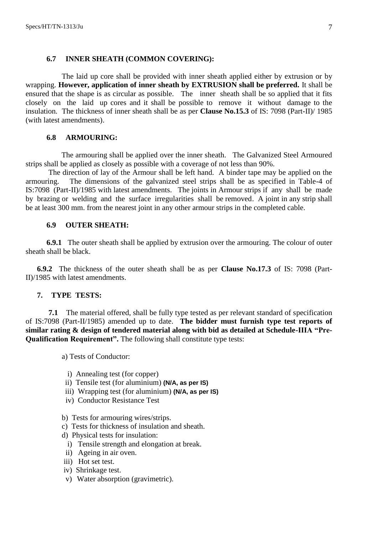#### **6.7 INNER SHEATH (COMMON COVERING):**

 The laid up core shall be provided with inner sheath applied either by extrusion or by wrapping. **However, application of inner sheath by EXTRUSION shall be preferred.** It shall be ensured that the shape is as circular as possible. The inner sheath shall be so applied that it fits closely on the laid up cores and it shall be possible to remove it without damage to the insulation. The thickness of inner sheath shall be as per **Clause No.15.3** of IS: 7098 (Part-II)/ 1985 (with latest amendments).

## **6.8 ARMOURING:**

The armouring shall be applied over the inner sheath. The Galvanized Steel Armoured strips shall be applied as closely as possible with a coverage of not less than 90%.

The direction of lay of the Armour shall be left hand. A binder tape may be applied on the armouring. The dimensions of the galvanized steel strips shall be as specified in Table-4 of IS:7098 (Part-II)/1985 with latest amendments. The joints in Armour strips if any shall be made by brazing or welding and the surface irregularities shall be removed. A joint in any strip shall be at least 300 mm. from the nearest joint in any other armour strips in the completed cable.

#### **6.9 OUTER SHEATH:**

**6.9.1** The outer sheath shall be applied by extrusion over the armouring. The colour of outer sheath shall be black.

**6.9.2** The thickness of the outer sheath shall be as per **Clause No.17.3** of IS: 7098 (Part-II)/1985 with latest amendments.

# **7. TYPE TESTS:**

**7.1** The material offered, shall be fully type tested as per relevant standard of specification of IS:7098 (Part-II/1985) amended up to date. **The bidder must furnish type test reports of similar rating & design of tendered material along with bid as detailed at Schedule-IIIA "Pre-Qualification Requirement".** The following shall constitute type tests:

a) Tests of Conductor:

- i) Annealing test (for copper)
- ii) Tensile test (for aluminium) **(N/A, as per IS)**
- iii) Wrapping test (for aluminium) **(N/A, as per IS)**
- iv) Conductor Resistance Test
- b) Tests for armouring wires/strips.
- c) Tests for thickness of insulation and sheath.
- d) Physical tests for insulation:
- i) Tensile strength and elongation at break.
- ii) Ageing in air oven.
- iii) Hot set test.
- iv) Shrinkage test.
- v) Water absorption (gravimetric).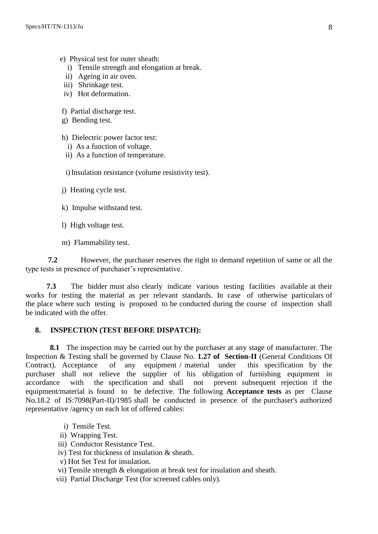- e) Physical test for outer sheath:
	- i) Tensile strength and elongation at break.
	- ii) Ageing in air oven.
	- iii) Shrinkage test.
- iv) Hot deformation.
- f) Partial discharge test.
- g) Bending test.
- h) Dielectric power factor test:
	- i) As a function of voltage.
	- ii) As a function of temperature.

i) Insulation resistance (volume resistivity test).

- j) Heating cycle test.
- k) Impulse withstand test.
- l) High voltage test.
- m) Flammability test.

**7.2** However, the purchaser reserves the right to demand repetition of same or all the type tests in presence of purchaser's representative.

 **7.3** The bidder must also clearly indicate various testing facilities available at their works for testing the material as per relevant standards. In case of otherwise particulars of the place where such testing is proposed to be conducted during the course of inspection shall be indicated with the offer.

# **8. INSPECTION (TEST BEFORE DISPATCH):**

**8.1** The inspection may be carried out by the purchaser at any stage of manufacturer. The Inspection & Testing shall be governed by Clause No. **1.27 of Section-II** (General Conditions Of Contract). Acceptance of any equipment / material under this specification by the purchaser shall not relieve the supplier of his obligation of furnishing equipment in accordance with the specification and shall not prevent subsequent rejection if the equipment/material is found to be defective. The following **Acceptance tests** as per Clause No.18.2 of IS:7098(Part-II)/1985 shall be conducted in presence of the purchaser's authorized representative /agency on each lot of offered cables:

- i) Tensile Test.
- ii) Wrapping Test.
- iii) Conductor Resistance Test.
- iv) Test for thickness of insulation & sheath.
- v) Hot Set Test for insulation.
- vi) Tensile strength & elongation at break test for insulation and sheath.
- vii) Partial Discharge Test (for screened cables only).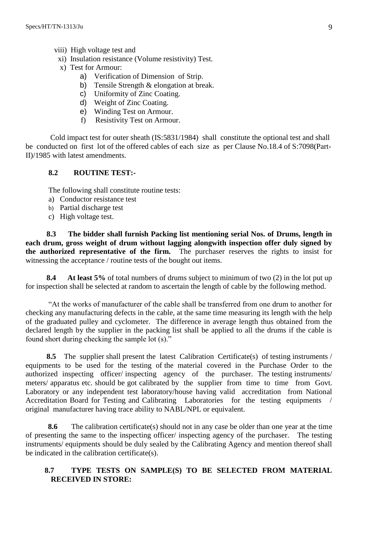- viii) High voltage test and
- xi) Insulation resistance (Volume resistivity) Test.
- x) Test for Armour:
	- a) Verification of Dimension of Strip.
	- b) Tensile Strength & elongation at break.
	- c) Uniformity of Zinc Coating.
	- d) Weight of Zinc Coating.
	- e) Winding Test on Armour.
	- f) Resistivity Test on Armour.

 Cold impact test for outer sheath (IS:5831/1984) shall constitute the optional test and shall be conducted on first lot of the offered cables of each size as per Clause No.18.4 of S:7098(Part-II)/1985 with latest amendments.

## **8.2 ROUTINE TEST:-**

The following shall constitute routine tests:

- a) Conductor resistance test
- b) Partial discharge test
- c) High voltage test.

 **8.3 The bidder shall furnish Packing list mentioning serial Nos. of Drums, length in each drum, gross weight of drum without lagging alongwith inspection offer duly signed by the authorized representative of the firm.** The purchaser reserves the rights to insist for witnessing the acceptance / routine tests of the bought out items.

 **8.4 At least 5%** of total numbers of drums subject to minimum of two (2) in the lot put up for inspection shall be selected at random to ascertain the length of cable by the following method.

"At the works of manufacturer of the cable shall be transferred from one drum to another for checking any manufacturing defects in the cable, at the same time measuring its length with the help of the graduated pulley and cyclometer. The difference in average length thus obtained from the declared length by the supplier in the packing list shall be applied to all the drums if the cable is found short during checking the sample lot (s)."

 **8.5** The supplier shall present the latest Calibration Certificate(s) of testing instruments / equipments to be used for the testing of the material covered in the Purchase Order to the authorized inspecting officer/ inspecting agency of the purchaser. The testing instruments/ meters/ apparatus etc. should be got calibrated by the supplier from time to time from Govt. Laboratory or any independent test laboratory/house having valid accreditation from National Accreditation Board for Testing and Calibrating Laboratories for the testing equipments original manufacturer having trace ability to NABL/NPL or equivalent.

**8.6** The calibration certificate(s) should not in any case be older than one year at the time of presenting the same to the inspecting officer/ inspecting agency of the purchaser. The testing instruments/ equipments should be duly sealed by the Calibrating Agency and mention thereof shall be indicated in the calibration certificate(s).

# **8.7 TYPE TESTS ON SAMPLE(S) TO BE SELECTED FROM MATERIAL RECEIVED IN STORE:**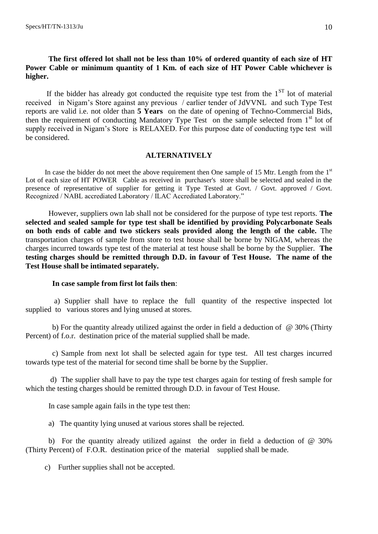# **The first offered lot shall not be less than 10% of ordered quantity of each size of HT Power Cable or minimum quantity of 1 Km. of each size of HT Power Cable whichever is higher.**

If the bidder has already got conducted the requisite type test from the  $1<sup>ST</sup>$  lot of material received in Nigam"s Store against any previous / earlier tender of JdVVNL and such Type Test reports are valid i.e. not older than **5 Years** on the date of opening of Techno-Commercial Bids, then the requirement of conducting Mandatory Type Test on the sample selected from 1<sup>st</sup> lot of supply received in Nigam"s Store is RELAXED. For this purpose date of conducting type test will be considered.

#### **ALTERNATIVELY**

In case the bidder do not meet the above requirement then One sample of 15 Mtr. Length from the  $1<sup>st</sup>$ Lot of each size of HT POWER Cable as received in purchaser's store shall be selected and sealed in the presence of representative of supplier for getting it Type Tested at Govt. / Govt. approved / Govt. Recognized / NABL accrediated Laboratory / ILAC Accrediated Laboratory."

However, suppliers own lab shall not be considered for the purpose of type test reports. **The selected and sealed sample for type test shall be identified by providing Polycarbonate Seals on both ends of cable and two stickers seals provided along the length of the cable.** The transportation charges of sample from store to test house shall be borne by NIGAM, whereas the charges incurred towards type test of the material at test house shall be borne by the Supplier. **The testing charges should be remitted through D.D. in favour of Test House. The name of the Test House shall be intimated separately.**

#### **In case sample from first lot fails then**:

 a) Supplier shall have to replace the full quantity of the respective inspected lot supplied to various stores and lying unused at stores.

b) For the quantity already utilized against the order in field a deduction of  $\omega$  30% (Thirty Percent) of f.o.r. destination price of the material supplied shall be made.

 c) Sample from next lot shall be selected again for type test. All test charges incurred towards type test of the material for second time shall be borne by the Supplier.

 d) The supplier shall have to pay the type test charges again for testing of fresh sample for which the testing charges should be remitted through D.D. in favour of Test House.

In case sample again fails in the type test then:

a) The quantity lying unused at various stores shall be rejected.

b) For the quantity already utilized against the order in field a deduction of @ 30% (Thirty Percent) of F.O.R. destination price of the material supplied shall be made.

c) Further supplies shall not be accepted.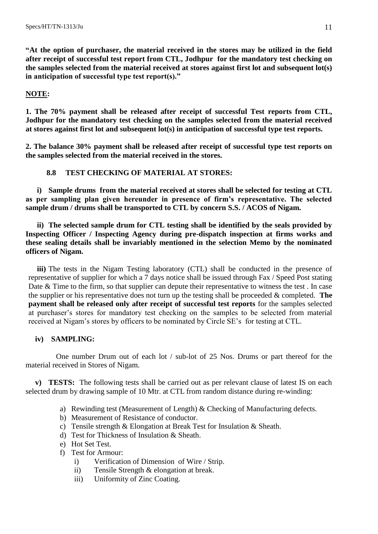**"At the option of purchaser, the material received in the stores may be utilized in the field after receipt of successful test report from CTL, Jodhpur for the mandatory test checking on the samples selected from the material received at stores against first lot and subsequent lot(s) in anticipation of successful type test report(s)."**

# **NOTE:**

**1. The 70% payment shall be released after receipt of successful Test reports from CTL, Jodhpur for the mandatory test checking on the samples selected from the material received at stores against first lot and subsequent lot(s) in anticipation of successful type test reports.**

**2. The balance 30% payment shall be released after receipt of successful type test reports on the samples selected from the material received in the stores.**

# **8.8 TEST CHECKING OF MATERIAL AT STORES:**

**i) Sample drums from the material received at stores shall be selected for testing at CTL as per sampling plan given hereunder in presence of firm's representative. The selected sample drum / drums shall be transported to CTL by concern S.S. / ACOS of Nigam.**

**ii) The selected sample drum for CTL testing shall be identified by the seals provided by Inspecting Officer / Inspecting Agency during pre-dispatch inspection at firms works and these sealing details shall be invariably mentioned in the selection Memo by the nominated officers of Nigam.**

**iii)** The tests in the Nigam Testing laboratory (CTL) shall be conducted in the presence of representative of supplier for which a 7 days notice shall be issued through Fax / Speed Post stating Date & Time to the firm, so that supplier can depute their representative to witness the test. In case the supplier or his representative does not turn up the testing shall be proceeded & completed. **The payment shall be released only after receipt of successful test reports** for the samples selected at purchaser"s stores for mandatory test checking on the samples to be selected from material received at Nigam"s stores by officers to be nominated by Circle SE"s for testing at CTL.

# **iv) SAMPLING:**

 One number Drum out of each lot / sub-lot of 25 Nos. Drums or part thereof for the material received in Stores of Nigam.

 **v) TESTS:** The following tests shall be carried out as per relevant clause of latest IS on each selected drum by drawing sample of 10 Mtr. at CTL from random distance during re-winding:

- a) Rewinding test (Measurement of Length) & Checking of Manufacturing defects.
- b) Measurement of Resistance of conductor.
- c) Tensile strength & Elongation at Break Test for Insulation & Sheath.
- d) Test for Thickness of Insulation & Sheath.
- e) Hot Set Test.
- f) Test for Armour:
	- i) Verification of Dimension of Wire / Strip.
	- ii) Tensile Strength & elongation at break.
	- iii) Uniformity of Zinc Coating.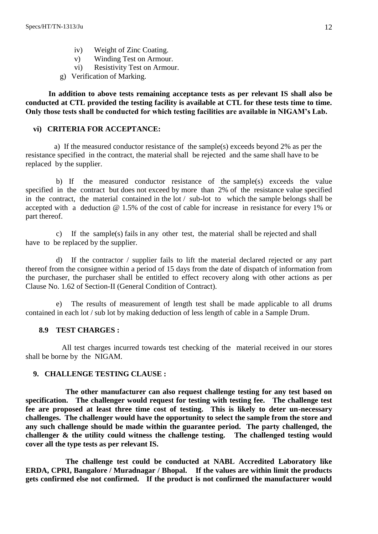- iv) Weight of Zinc Coating.
- v) Winding Test on Armour.
- vi) Resistivity Test on Armour.
- g) Verification of Marking.

**In addition to above tests remaining acceptance tests as per relevant IS shall also be conducted at CTL provided the testing facility is available at CTL for these tests time to time. Only those tests shall be conducted for which testing facilities are available in NIGAM's Lab.**

# **vi) CRITERIA FOR ACCEPTANCE:**

 a) If the measured conductor resistance of the sample(s) exceeds beyond 2% as per the resistance specified in the contract, the material shall be rejected and the same shall have to be replaced by the supplier.

 b) If the measured conductor resistance of the sample(s) exceeds the value specified in the contract but does not exceed by more than 2% of the resistance value specified in the contract, the material contained in the lot / sub-lot to which the sample belongs shall be accepted with a deduction @ 1.5% of the cost of cable for increase in resistance for every 1% or part thereof.

c) If the sample(s) fails in any other test, the material shall be rejected and shall have to be replaced by the supplier.

d) If the contractor / supplier fails to lift the material declared rejected or any part thereof from the consignee within a period of 15 days from the date of dispatch of information from the purchaser, the purchaser shall be entitled to effect recovery along with other actions as per Clause No. 1.62 of Section-II (General Condition of Contract).

e) The results of measurement of length test shall be made applicable to all drums contained in each lot / sub lot by making deduction of less length of cable in a Sample Drum.

# **8.9 TEST CHARGES :**

 All test charges incurred towards test checking of the material received in our stores shall be borne by the NIGAM.

# **9. CHALLENGE TESTING CLAUSE :**

 **The other manufacturer can also request challenge testing for any test based on specification. The challenger would request for testing with testing fee. The challenge test fee are proposed at least three time cost of testing. This is likely to deter un-necessary challenges. The challenger would have the opportunity to select the sample from the store and any such challenge should be made within the guarantee period. The party challenged, the challenger & the utility could witness the challenge testing. The challenged testing would cover all the type tests as per relevant IS.** 

 **The challenge test could be conducted at NABL Accredited Laboratory like ERDA, CPRI, Bangalore / Muradnagar / Bhopal. If the values are within limit the products gets confirmed else not confirmed. If the product is not confirmed the manufacturer would**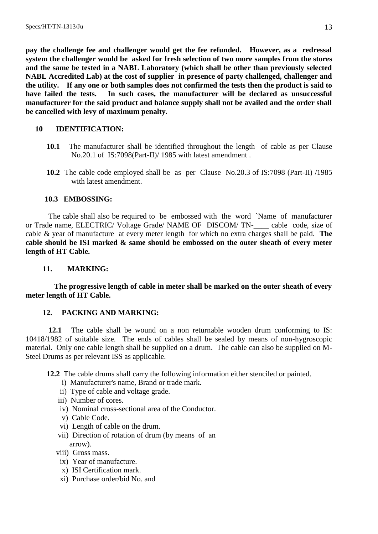**pay the challenge fee and challenger would get the fee refunded. However, as a redressal system the challenger would be asked for fresh selection of two more samples from the stores and the same be tested in a NABL Laboratory (which shall be other than previously selected NABL Accredited Lab) at the cost of supplier in presence of party challenged, challenger and the utility. If any one or both samples does not confirmed the tests then the product is said to have failed the tests. In such cases, the manufacturer will be declared as unsuccessful manufacturer for the said product and balance supply shall not be availed and the order shall be cancelled with levy of maximum penalty.** 

# **10 IDENTIFICATION:**

- **10.1** The manufacturer shall be identified throughout the length of cable as per Clause No.20.1 of IS:7098(Part-II)/ 1985 with latest amendment .
- **10.2** The cable code employed shall be as per Clause No.20.3 of IS:7098 (Part-II) /1985 with latest amendment.

# **10.3 EMBOSSING:**

 The cable shall also be required to be embossed with the word `Name of manufacturer or Trade name, ELECTRIC/ Voltage Grade/ NAME OF DISCOM/ TN-\_\_\_\_ cable code, size of cable & year of manufacture at every meter length for which no extra charges shall be paid. **The cable should be ISI marked & same should be embossed on the outer sheath of every meter length of HT Cable.**

# **11. MARKING:**

 **The progressive length of cable in meter shall be marked on the outer sheath of every meter length of HT Cable.**

# **12. PACKING AND MARKING:**

**12.1** The cable shall be wound on a non returnable wooden drum conforming to IS: 10418/1982 of suitable size. The ends of cables shall be sealed by means of non-hygroscopic material. Only one cable length shall be supplied on a drum. The cable can also be supplied on M-Steel Drums as per relevant ISS as applicable.

**12.2** The cable drums shall carry the following information either stenciled or painted.

- i) Manufacturer's name, Brand or trade mark.
- ii) Type of cable and voltage grade.
- iii) Number of cores.
- iv) Nominal cross-sectional area of the Conductor.
- v) Cable Code.
- vi) Length of cable on the drum.
- vii) Direction of rotation of drum (by means of an arrow).
- viii) Gross mass.
- ix) Year of manufacture.
- x) ISI Certification mark.
- xi) Purchase order/bid No. and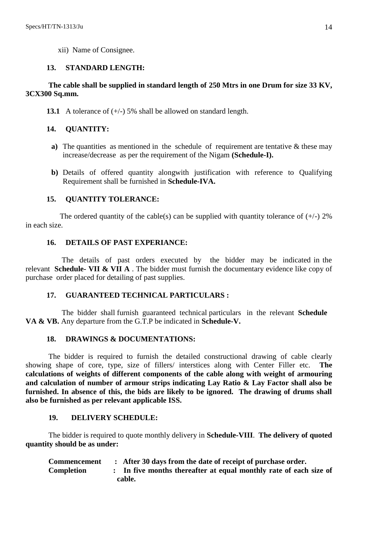xii) Name of Consignee.

# **13. STANDARD LENGTH:**

# **The cable shall be supplied in standard length of 250 Mtrs in one Drum for size 33 KV, 3CX300 Sq.mm.**

**13.1** A tolerance of  $(+/-)$  5% shall be allowed on standard length.

# **14. QUANTITY:**

- **a**) The quantities as mentioned in the schedule of requirement are tentative & these may increase/decrease as per the requirement of the Nigam **(Schedule-I).**
- **b)** Details of offered quantity alongwith justification with reference to Qualifying Requirement shall be furnished in **Schedule-IVA.**

# **15. QUANTITY TOLERANCE:**

The ordered quantity of the cable(s) can be supplied with quantity tolerance of  $(+/-)$  2% in each size.

# **16. DETAILS OF PAST EXPERIANCE:**

 The details of past orders executed by the bidder may be indicated in the relevant **Schedule- VII & VII A** . The bidder must furnish the documentary evidence like copy of purchase order placed for detailing of past supplies.

# **17. GUARANTEED TECHNICAL PARTICULARS :**

 The bidder shall furnish guaranteed technical particulars in the relevant **Schedule VA & VB.** Any departure from the G.T.P be indicated in **Schedule-V.**

# **18. DRAWINGS & DOCUMENTATIONS:**

The bidder is required to furnish the detailed constructional drawing of cable clearly showing shape of core, type, size of fillers/ interstices along with Center Filler etc. **calculations of weights of different components of the cable along with weight of armouring and calculation of number of armour strips indicating Lay Ratio & Lay Factor shall also be furnished. In absence of this, the bids are likely to be ignored. The drawing of drums shall also be furnished as per relevant applicable ISS.**

# **19. DELIVERY SCHEDULE:**

The bidder is required to quote monthly delivery in **Schedule-VIII**. **The delivery of quoted quantity should be as under:**

| <b>Commencement</b> | : After 30 days from the date of receipt of purchase order.     |
|---------------------|-----------------------------------------------------------------|
| <b>Completion</b>   | In five months thereafter at equal monthly rate of each size of |
|                     | cable.                                                          |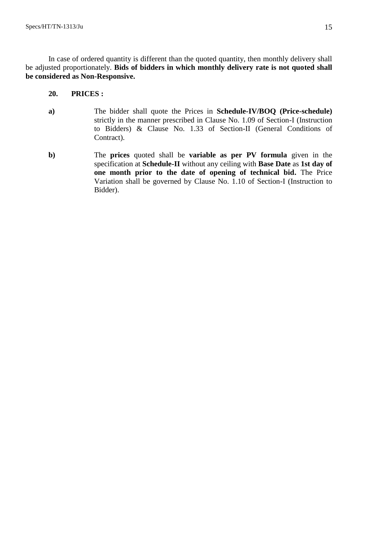In case of ordered quantity is different than the quoted quantity, then monthly delivery shall be adjusted proportionately. **Bids of bidders in which monthly delivery rate is not quoted shall be considered as Non-Responsive.**

## **20. PRICES :**

- **a)** The bidder shall quote the Prices in **Schedule-IV/BOQ (Price-schedule)** strictly in the manner prescribed in Clause No. 1.09 of Section-I (Instruction to Bidders) & Clause No. 1.33 of Section-II (General Conditions of Contract).
- **b)** The **prices** quoted shall be **variable as per PV formula** given in the specification at **Schedule-II** without any ceiling with **Base Date** as **1st day of one month prior to the date of opening of technical bid.** The Price Variation shall be governed by Clause No. 1.10 of Section-I (Instruction to Bidder).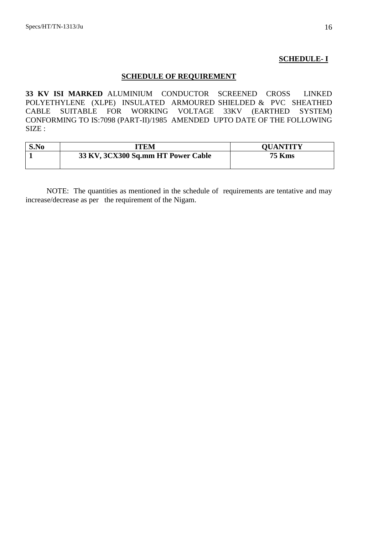#### **SCHEDULE- I**

# **SCHEDULE OF REQUIREMENT**

**33 KV ISI MARKED** ALUMINIUM CONDUCTOR SCREENED CROSS LINKED POLYETHYLENE (XLPE) INSULATED ARMOURED SHIELDED & PVC SHEATHED CABLE SUITABLE FOR WORKING VOLTAGE 33KV (EARTHED SYSTEM) CONFORMING TO IS:7098 (PART-II)/1985 AMENDED UPTO DATE OF THE FOLLOWING SIZE :

| S.No | ITEM                               | <b>OUANTITY</b> |
|------|------------------------------------|-----------------|
|      | 33 KV, 3CX300 Sq.mm HT Power Cable | <b>75 Kms</b>   |
|      |                                    |                 |

NOTE: The quantities as mentioned in the schedule of requirements are tentative and may increase/decrease as per the requirement of the Nigam.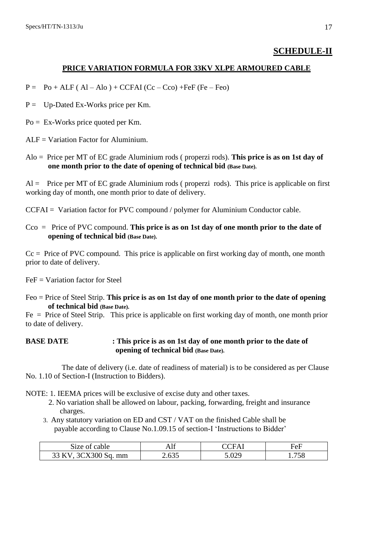# **SCHEDULE-II**

#### **PRICE VARIATION FORMULA FOR 33KV XLPE ARMOURED CABLE**

- $P = Po + ALF (Al Alo) + CCFAI (Cc Cco) + FeF (Fe Feo)$
- $P =$  Up-Dated Ex-Works price per Km.
- $Po = Ex-Works$  price quoted per Km.

 $ALF = Variation Factor for Aluminium.$ 

Alo = Price per MT of EC grade Aluminium rods ( properzi rods). **This price is as on 1st day of one month prior to the date of opening of technical bid (Base Date).**

 $Al =$  Price per MT of EC grade Aluminium rods (properzi rods). This price is applicable on first working day of month, one month prior to date of delivery.

CCFAI = Variation factor for PVC compound / polymer for Aluminium Conductor cable.

Cco = Price of PVC compound. **This price is as on 1st day of one month prior to the date of opening of technical bid (Base Date).**

 $Cc = Price of PVC compound. This price is applicable on first working day of month, one month$ prior to date of delivery.

 $FeF = Variation factor for Steel$ 

Feo = Price of Steel Strip. **This price is as on 1st day of one month prior to the date of opening of technical bid (Base Date).**

 $Fe = Price of Steel Strip.$  This price is applicable on first working day of month, one month prior to date of delivery.

#### **BASE DATE : This price is as on 1st day of one month prior to the date of opening of technical bid (Base Date).**

 The date of delivery (i.e. date of readiness of material) is to be considered as per Clause No. 1.10 of Section-I (Instruction to Bidders).

NOTE: 1. IEEMA prices will be exclusive of excise duty and other taxes.

- 2. No variation shall be allowed on labour, packing, forwarding, freight and insurance charges.
- 3. Any statutory variation on ED and CST / VAT on the finished Cable shall be payable according to Clause No.1.09.15 of section-I "Instructions to Bidder"

| Size of cable                        | 711 | `ΉΑ | FeF   |
|--------------------------------------|-----|-----|-------|
| $\sim$ 3CX300 S<br>33 KV<br>' Sq. mm | 635 | റാ  | 1.758 |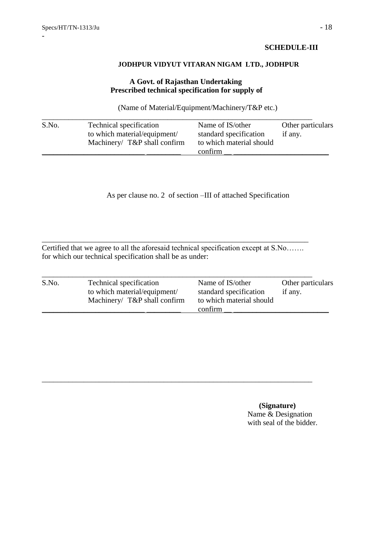# **SCHEDULE-III**

#### **JODHPUR VIDYUT VITARAN NIGAM LTD., JODHPUR**

# **A Govt. of Rajasthan Undertaking Prescribed technical specification for supply of**

(Name of Material/Equipment/Machinery/T&P etc.)

| S.No. | Technical specification<br>to which material/equipment/<br>Machinery/ $T\&P$ shall confirm | Name of IS/other<br>standard specification<br>to which material should | Other particulars<br>if any. |
|-------|--------------------------------------------------------------------------------------------|------------------------------------------------------------------------|------------------------------|
|       |                                                                                            | confirm                                                                |                              |

As per clause no. 2 of section –III of attached Specification

Certified that we agree to all the aforesaid technical specification except at S.No……. for which our technical specification shall be as under:

\_\_\_\_\_\_\_\_\_\_\_\_\_\_\_\_\_\_\_\_\_\_\_\_\_\_\_\_\_\_\_\_\_\_\_\_\_\_\_\_\_\_\_\_\_\_\_\_\_\_\_\_\_\_\_\_\_\_\_\_\_\_\_\_\_\_\_\_\_\_

| S.No. | Technical specification      | Name of IS/other         | Other particulars |
|-------|------------------------------|--------------------------|-------------------|
|       | to which material/equipment/ | standard specification   | if any.           |
|       | Machinery/ T&P shall confirm | to which material should |                   |
|       |                              | confirm                  |                   |

\_\_\_\_\_\_\_\_\_\_\_\_\_\_\_\_\_\_\_\_\_\_\_\_\_\_\_\_\_\_\_\_\_\_\_\_\_\_\_\_\_\_\_\_\_\_\_\_\_\_\_\_\_\_\_\_\_\_\_\_\_\_\_\_\_\_\_\_\_\_\_

 **(Signature)** Name & Designation with seal of the bidder.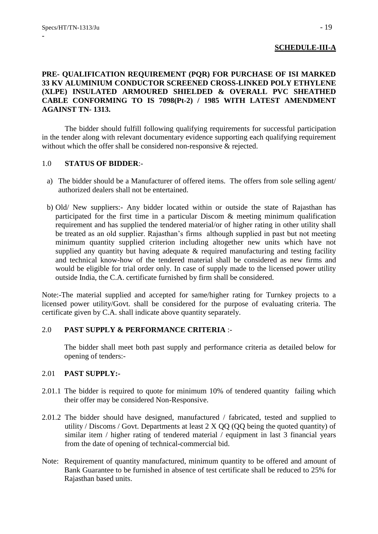# **SCHEDULE-III-A**

# **PRE- QUALIFICATION REQUIREMENT (PQR) FOR PURCHASE OF ISI MARKED 33 KV ALUMINIUM CONDUCTOR SCREENED CROSS-LINKED POLY ETHYLENE (XLPE) INSULATED ARMOURED SHIELDED & OVERALL PVC SHEATHED CABLE CONFORMING TO IS 7098(Pt-2) / 1985 WITH LATEST AMENDMENT AGAINST TN- 1313.**

The bidder should fulfill following qualifying requirements for successful participation in the tender along with relevant documentary evidence supporting each qualifying requirement without which the offer shall be considered non-responsive & rejected.

# 1.0 **STATUS OF BIDDER**:-

- a) The bidder should be a Manufacturer of offered items. The offers from sole selling agent/ authorized dealers shall not be entertained.
- b) Old/ New suppliers:- Any bidder located within or outside the state of Rajasthan has participated for the first time in a particular Discom & meeting minimum qualification requirement and has supplied the tendered material/or of higher rating in other utility shall be treated as an old supplier. Rajasthan"s firms although supplied in past but not meeting minimum quantity supplied criterion including altogether new units which have not supplied any quantity but having adequate & required manufacturing and testing facility and technical know-how of the tendered material shall be considered as new firms and would be eligible for trial order only. In case of supply made to the licensed power utility outside India, the C.A. certificate furnished by firm shall be considered.

Note:-The material supplied and accepted for same/higher rating for Turnkey projects to a licensed power utility/Govt. shall be considered for the purpose of evaluating criteria. The certificate given by C.A. shall indicate above quantity separately.

# 2.0 **PAST SUPPLY & PERFORMANCE CRITERIA** :-

The bidder shall meet both past supply and performance criteria as detailed below for opening of tenders:-

# 2.01 **PAST SUPPLY:-**

- 2.01.1 The bidder is required to quote for minimum 10% of tendered quantity failing which their offer may be considered Non-Responsive.
- 2.01.2 The bidder should have designed, manufactured / fabricated, tested and supplied to utility / Discoms / Govt. Departments at least  $2 \text{ X } QQ$  (QQ being the quoted quantity) of similar item / higher rating of tendered material / equipment in last 3 financial years from the date of opening of technical-commercial bid.
- Note: Requirement of quantity manufactured, minimum quantity to be offered and amount of Bank Guarantee to be furnished in absence of test certificate shall be reduced to 25% for Rajasthan based units.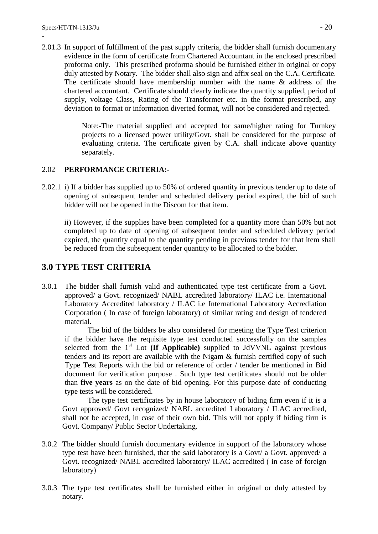2.01.3 In support of fulfillment of the past supply criteria, the bidder shall furnish documentary evidence in the form of certificate from Chartered Accountant in the enclosed prescribed proforma only. This prescribed proforma should be furnished either in original or copy duly attested by Notary. The bidder shall also sign and affix seal on the C.A. Certificate. The certificate should have membership number with the name & address of the chartered accountant. Certificate should clearly indicate the quantity supplied, period of supply, voltage Class, Rating of the Transformer etc. in the format prescribed, any deviation to format or information diverted format, will not be considered and rejected.

> Note:-The material supplied and accepted for same/higher rating for Turnkey projects to a licensed power utility/Govt. shall be considered for the purpose of evaluating criteria. The certificate given by C.A. shall indicate above quantity separately.

# 2.02 **PERFORMANCE CRITERIA:-**

2.02.1 i) If a bidder has supplied up to 50% of ordered quantity in previous tender up to date of opening of subsequent tender and scheduled delivery period expired, the bid of such bidder will not be opened in the Discom for that item.

ii) However, if the supplies have been completed for a quantity more than 50% but not completed up to date of opening of subsequent tender and scheduled delivery period expired, the quantity equal to the quantity pending in previous tender for that item shall be reduced from the subsequent tender quantity to be allocated to the bidder.

# **3.0 TYPE TEST CRITERIA**

3.0.1 The bidder shall furnish valid and authenticated type test certificate from a Govt. approved/ a Govt. recognized/ NABL accredited laboratory/ ILAC i.e. International Laboratory Accredited laboratory / ILAC i.e International Laboratory Accrediation Corporation ( In case of foreign laboratory) of similar rating and design of tendered material.

The bid of the bidders be also considered for meeting the Type Test criterion if the bidder have the requisite type test conducted successfully on the samples selected from the  $1<sup>st</sup>$  Lot (If Applicable) supplied to JdVVNL against previous tenders and its report are available with the Nigam & furnish certified copy of such Type Test Reports with the bid or reference of order / tender be mentioned in Bid document for verification purpose . Such type test certificates should not be older than **five years** as on the date of bid opening. For this purpose date of conducting type tests will be considered.

The type test certificates by in house laboratory of biding firm even if it is a Govt approved/ Govt recognized/ NABL accredited Laboratory / ILAC accredited, shall not be accepted, in case of their own bid. This will not apply if biding firm is Govt. Company/ Public Sector Undertaking.

- 3.0.2 The bidder should furnish documentary evidence in support of the laboratory whose type test have been furnished, that the said laboratory is a Govt/ a Govt. approved/ a Govt. recognized/ NABL accredited laboratory/ ILAC accredited ( in case of foreign laboratory)
- 3.0.3 The type test certificates shall be furnished either in original or duly attested by notary.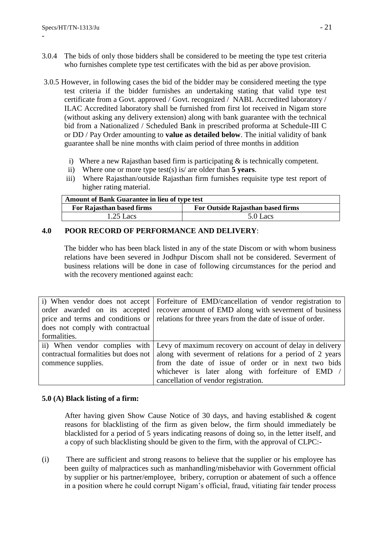- 3.0.4 The bids of only those bidders shall be considered to be meeting the type test criteria who furnishes complete type test certificates with the bid as per above provision.
- 3.0.5 However, in following cases the bid of the bidder may be considered meeting the type test criteria if the bidder furnishes an undertaking stating that valid type test certificate from a Govt. approved / Govt. recognized / NABL Accredited laboratory / ILAC Accredited laboratory shall be furnished from first lot received in Nigam store (without asking any delivery extension) along with bank guarantee with the technical bid from a Nationalized / Scheduled Bank in prescribed proforma at Schedule-III C or DD / Pay Order amounting to **value as detailed below**. The initial validity of bank guarantee shall be nine months with claim period of three months in addition
	- i) Where a new Rajasthan based firm is participating & is technically competent.
	- ii) Where one or more type test(s) is/ are older than **5 years**.
	- iii) Where Rajasthan/outside Rajasthan firm furnishes requisite type test report of higher rating material.

| Amount of Bank Guarantee in lieu of type test |                                   |  |
|-----------------------------------------------|-----------------------------------|--|
| For Rajasthan based firms                     | For Outside Rajasthan based firms |  |
| $1.25$ Lacs                                   | $5.0$ Lacs                        |  |

# **4.0 POOR RECORD OF PERFORMANCE AND DELIVERY**:

The bidder who has been black listed in any of the state Discom or with whom business relations have been severed in Jodhpur Discom shall not be considered. Severment of business relations will be done in case of following circumstances for the period and with the recovery mentioned against each:

| i) When vendor does not accept       | Forfeiture of EMD/cancellation of vendor registration to                               |
|--------------------------------------|----------------------------------------------------------------------------------------|
| order awarded on its accepted        | recover amount of EMD along with severment of business                                 |
| price and terms and conditions or    | relations for three years from the date of issue of order.                             |
| does not comply with contractual     |                                                                                        |
| formalities.                         |                                                                                        |
|                                      | ii) When vendor complies with Levy of maximum recovery on account of delay in delivery |
| contractual formalities but does not | along with severment of relations for a period of 2 years                              |
| commence supplies.                   | from the date of issue of order or in next two bids                                    |
|                                      | whichever is later along with forfeiture of EMD /                                      |
|                                      | cancellation of vendor registration.                                                   |

# **5.0 (A) Black listing of a firm:**

After having given Show Cause Notice of 30 days, and having established  $\&$  cogent reasons for blacklisting of the firm as given below, the firm should immediately be blacklisted for a period of 5 years indicating reasons of doing so, in the letter itself, and a copy of such blacklisting should be given to the firm, with the approval of CLPC:-

(i) There are sufficient and strong reasons to believe that the supplier or his employee has been guilty of malpractices such as manhandling/misbehavior with Government official by supplier or his partner/employee, bribery, corruption or abatement of such a offence in a position where he could corrupt Nigam"s official, fraud, vitiating fair tender process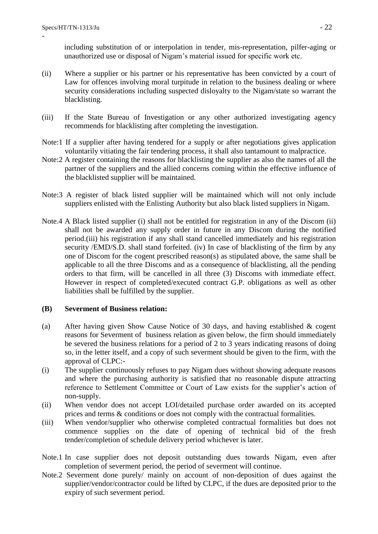including substitution of or interpolation in tender, mis-representation, pilfer-aging or unauthorized use or disposal of Nigam"s material issued for specific work etc.

- (ii) Where a supplier or his partner or his representative has been convicted by a court of Law for offences involving moral turpitude in relation to the business dealing or where security considerations including suspected disloyalty to the Nigam/state so warrant the blacklisting.
- (iii) If the State Bureau of Investigation or any other authorized investigating agency recommends for blacklisting after completing the investigation.
- Note:1 If a supplier after having tendered for a supply or after negotiations gives application voluntarily vitiating the fair tendering process, it shall also tantamount to malpractice.
- Note:2 A register containing the reasons for blacklisting the supplier as also the names of all the partner of the suppliers and the allied concerns coming within the effective influence of the blacklisted supplier will be maintained.
- Note:3 A register of black listed supplier will be maintained which will not only include suppliers enlisted with the Enlisting Authority but also black listed suppliers in Nigam.
- Note.4 A Black listed supplier (i) shall not be entitled for registration in any of the Discom (ii) shall not be awarded any supply order in future in any Discom during the notified period.(iii) his registration if any shall stand cancelled immediately and his registration security /EMD/S.D. shall stand forfeited. (iv) In case of blacklisting of the firm by any one of Discom for the cogent prescribed reason(s) as stipulated above, the same shall be applicable to all the three Discoms and as a consequence of blacklisting, all the pending orders to that firm, will be cancelled in all three (3) Discoms with immediate effect. However in respect of completed/executed contract G.P. obligations as well as other liabilities shall be fulfilled by the supplier.

# **(B) Severment of Business relation:**

- (a) After having given Show Cause Notice of 30 days, and having established & cogent reasons for Severment of business relation as given below, the firm should immediately be severed the business relations for a period of 2 to 3 years indicating reasons of doing so, in the letter itself, and a copy of such severment should be given to the firm, with the approval of CLPC:-
- (i) The supplier continuously refuses to pay Nigam dues without showing adequate reasons and where the purchasing authority is satisfied that no reasonable dispute attracting reference to Settlement Committee or Court of Law exists for the supplier's action of non-supply.
- (ii) When vendor does not accept LOI/detailed purchase order awarded on its accepted prices and terms & conditions or does not comply with the contractual formalities.
- (iii) When vendor/supplier who otherwise completed contractual formalities but does not commence supplies on the date of opening of technical bid of the fresh tender/completion of schedule delivery period whichever is later.
- Note.1 In case supplier does not deposit outstanding dues towards Nigam, even after completion of severment period, the period of severment will continue.
- Note.2 Severment done purely/ mainly on account of non-deposition of dues against the supplier/vendor/contractor could be lifted by CLPC, if the dues are deposited prior to the expiry of such severment period.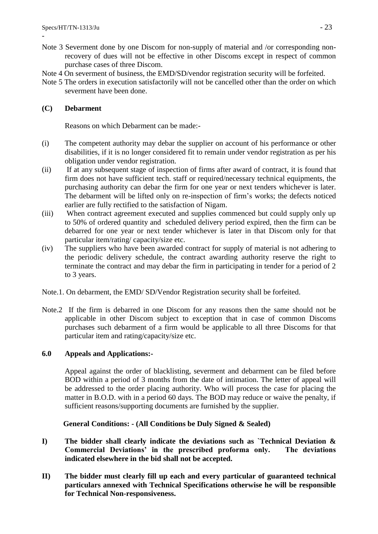- Note 3 Severment done by one Discom for non-supply of material and /or corresponding nonrecovery of dues will not be effective in other Discoms except in respect of common purchase cases of three Discom.
- Note 4 On severment of business, the EMD/SD/vendor registration security will be forfeited.
- Note 5 The orders in execution satisfactorily will not be cancelled other than the order on which severment have been done.

# **(C) Debarment**

Reasons on which Debarment can be made:-

- (i) The competent authority may debar the supplier on account of his performance or other disabilities, if it is no longer considered fit to remain under vendor registration as per his obligation under vendor registration.
- (ii) If at any subsequent stage of inspection of firms after award of contract, it is found that firm does not have sufficient tech. staff or required/necessary technical equipments, the purchasing authority can debar the firm for one year or next tenders whichever is later. The debarment will be lifted only on re-inspection of firm"s works; the defects noticed earlier are fully rectified to the satisfaction of Nigam.
- (iii) When contract agreement executed and supplies commenced but could supply only up to 50% of ordered quantity and scheduled delivery period expired, then the firm can be debarred for one year or next tender whichever is later in that Discom only for that particular item/rating/ capacity/size etc.
- (iv) The suppliers who have been awarded contract for supply of material is not adhering to the periodic delivery schedule, the contract awarding authority reserve the right to terminate the contract and may debar the firm in participating in tender for a period of 2 to 3 years.
- Note.1. On debarment, the EMD/ SD/Vendor Registration security shall be forfeited.
- Note.2 If the firm is debarred in one Discom for any reasons then the same should not be applicable in other Discom subject to exception that in case of common Discoms purchases such debarment of a firm would be applicable to all three Discoms for that particular item and rating/capacity/size etc.

# **6.0 Appeals and Applications:-**

Appeal against the order of blacklisting, severment and debarment can be filed before BOD within a period of 3 months from the date of intimation. The letter of appeal will be addressed to the order placing authority. Who will process the case for placing the matter in B.O.D. with in a period 60 days. The BOD may reduce or waive the penalty, if sufficient reasons/supporting documents are furnished by the supplier.

# **General Conditions: - (All Conditions be Duly Signed & Sealed)**

- **I) The bidder shall clearly indicate the deviations such as `Technical Deviation & Commercial Deviations' in the prescribed proforma only. The deviations indicated elsewhere in the bid shall not be accepted.**
- **II) The bidder must clearly fill up each and every particular of guaranteed technical particulars annexed with Technical Specifications otherwise he will be responsible for Technical Non-responsiveness.**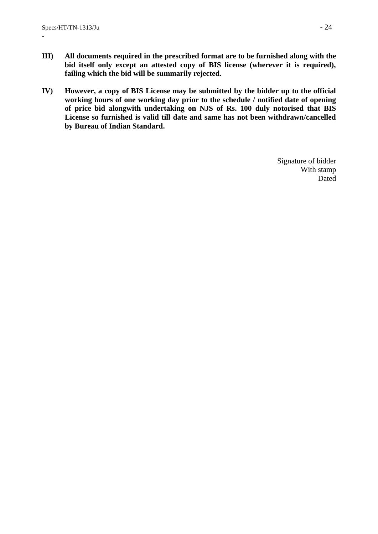- **III) All documents required in the prescribed format are to be furnished along with the bid itself only except an attested copy of BIS license (wherever it is required), failing which the bid will be summarily rejected.**
- **IV) However, a copy of BIS License may be submitted by the bidder up to the official working hours of one working day prior to the schedule / notified date of opening of price bid alongwith undertaking on NJS of Rs. 100 duly notorised that BIS License so furnished is valid till date and same has not been withdrawn/cancelled by Bureau of Indian Standard.**

Signature of bidder With stamp Dated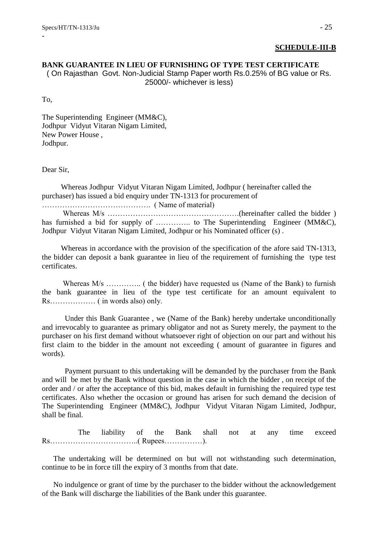#### **SCHEDULE-III-B**

# **BANK GUARANTEE IN LIEU OF FURNISHING OF TYPE TEST CERTIFICATE**  ( On Rajasthan Govt. Non-Judicial Stamp Paper worth Rs.0.25% of BG value or Rs. 25000/- whichever is less)

To,

-

The Superintending Engineer (MM&C), Jodhpur Vidyut Vitaran Nigam Limited, New Power House , Jodhpur.

Dear Sir,

 Whereas Jodhpur Vidyut Vitaran Nigam Limited, Jodhpur ( hereinafter called the purchaser) has issued a bid enquiry under TN-1313 for procurement of

……………………………………. ( Name of material)

 Whereas M/s …………………………………………….(hereinafter called the bidder ) has furnished a bid for supply of ………….. to The Superintending Engineer (MM&C), Jodhpur Vidyut Vitaran Nigam Limited, Jodhpur or his Nominated officer (s) .

 Whereas in accordance with the provision of the specification of the afore said TN-1313, the bidder can deposit a bank guarantee in lieu of the requirement of furnishing the type test certificates.

 Whereas M/s ………….. ( the bidder) have requested us (Name of the Bank) to furnish the bank guarantee in lieu of the type test certificate for an amount equivalent to Rs……………… ( in words also) only.

 Under this Bank Guarantee , we (Name of the Bank) hereby undertake unconditionally and irrevocably to guarantee as primary obligator and not as Surety merely, the payment to the purchaser on his first demand without whatsoever right of objection on our part and without his first claim to the bidder in the amount not exceeding ( amount of guarantee in figures and words).

 Payment pursuant to this undertaking will be demanded by the purchaser from the Bank and will be met by the Bank without question in the case in which the bidder , on receipt of the order and / or after the acceptance of this bid, makes default in furnishing the required type test certificates. Also whether the occasion or ground has arisen for such demand the decision of The Superintending Engineer (MM&C), Jodhpur Vidyut Vitaran Nigam Limited, Jodhpur, shall be final.

 The liability of the Bank shall not at any time exceed Rs……………………………..( Rupees……………).

 The undertaking will be determined on but will not withstanding such determination, continue to be in force till the expiry of 3 months from that date.

 No indulgence or grant of time by the purchaser to the bidder without the acknowledgement of the Bank will discharge the liabilities of the Bank under this guarantee.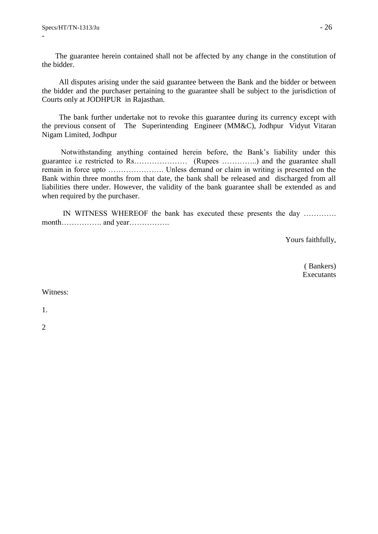The guarantee herein contained shall not be affected by any change in the constitution of the bidder.

 All disputes arising under the said guarantee between the Bank and the bidder or between the bidder and the purchaser pertaining to the guarantee shall be subject to the jurisdiction of Courts only at JODHPUR in Rajasthan.

 The bank further undertake not to revoke this guarantee during its currency except with the previous consent of The Superintending Engineer (MM&C), Jodhpur Vidyut Vitaran Nigam Limited, Jodhpur

 Notwithstanding anything contained herein before, the Bank"s liability under this guarantee i.e restricted to Rs………………… (Rupees …………..) and the guarantee shall remain in force upto …………………. Unless demand or claim in writing is presented on the Bank within three months from that date, the bank shall be released and discharged from all liabilities there under. However, the validity of the bank guarantee shall be extended as and when required by the purchaser.

 IN WITNESS WHEREOF the bank has executed these presents the day …………. month……………. and year…………….

Yours faithfully,

 ( Bankers) **Executants** 

Witness:

1.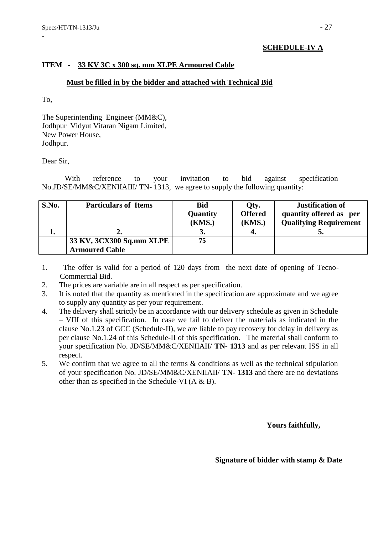# **SCHEDULE-IV A**

# **ITEM - 33 KV 3C x 300 sq. mm XLPE Armoured Cable**

### **Must be filled in by the bidder and attached with Technical Bid**

To,

-

The Superintending Engineer (MM&C), Jodhpur Vidyut Vitaran Nigam Limited, New Power House, Jodhpur.

#### Dear Sir,

With reference to your invitation to bid against specification No.JD/SE/MM&C/XENIIAIII/ TN- 1313, we agree to supply the following quantity:

| S.No. | <b>Particulars of Items</b> | <b>Bid</b>      | Qty.           | <b>Justification of</b>       |
|-------|-----------------------------|-----------------|----------------|-------------------------------|
|       |                             | <b>Quantity</b> | <b>Offered</b> | quantity offered as per       |
|       |                             | (KMS.)          | (KMS.)         | <b>Qualifying Requirement</b> |
|       |                             |                 | 4.             |                               |
|       | 33 KV, 3CX300 Sq.mm XLPE    | 75              |                |                               |
|       | <b>Armoured Cable</b>       |                 |                |                               |

- 1. The offer is valid for a period of 120 days from the next date of opening of Tecno-Commercial Bid.
- 2. The prices are variable are in all respect as per specification.
- 3. It is noted that the quantity as mentioned in the specification are approximate and we agree to supply any quantity as per your requirement.
- 4. The delivery shall strictly be in accordance with our delivery schedule as given in Schedule – VIII of this specification. In case we fail to deliver the materials as indicated in the clause No.1.23 of GCC (Schedule-II), we are liable to pay recovery for delay in delivery as per clause No.1.24 of this Schedule-II of this specification. The material shall conform to your specification No. JD/SE/MM&C/XENIIAII/ **TN- 1313** and as per relevant ISS in all respect.
- 5. We confirm that we agree to all the terms & conditions as well as the technical stipulation of your specification No. JD/SE/MM&C/XENIIAII/ **TN- 1313** and there are no deviations other than as specified in the Schedule-VI  $(A & B)$ .

 **Yours faithfully,** 

 **Signature of bidder with stamp & Date**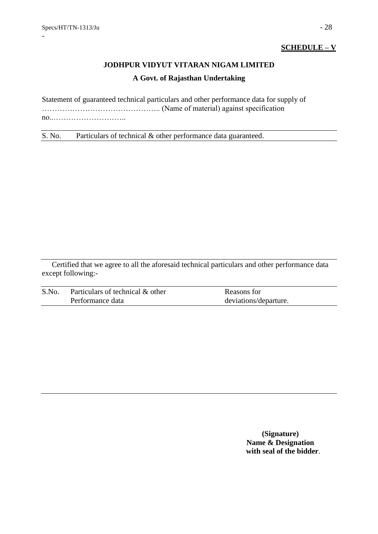# **SCHEDULE – V**

# **JODHPUR VIDYUT VITARAN NIGAM LIMITED A Govt. of Rajasthan Undertaking**

Statement of guaranteed technical particulars and other performance data for supply of ……………………………………….. (Name of material) against specification no..………………………..

S. No. Particulars of technical & other performance data guaranteed.

Certified that we agree to all the aforesaid technical particulars and other performance data except following:-

| S.No. | Particulars of technical & other | Reasons for           |
|-------|----------------------------------|-----------------------|
|       | Performance data                 | deviations/departure. |

**(Signature) Name & Designation with seal of the bidder**.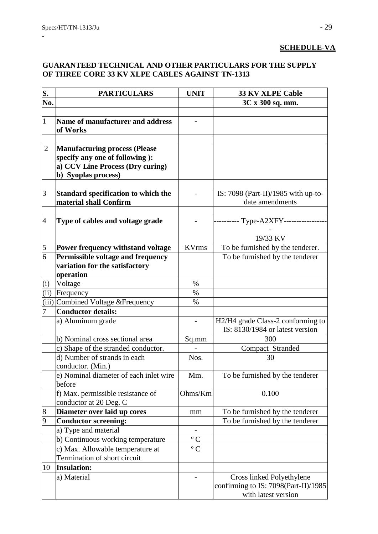# **SCHEDULE-VA**

# **GUARANTEED TECHNICAL AND OTHER PARTICULARS FOR THE SUPPLY OF THREE CORE 33 KV XLPE CABLES AGAINST TN-1313**

| S.             | <b>PARTICULARS</b>                     | <b>UNIT</b>          | <b>33 KV XLPE Cable</b>               |
|----------------|----------------------------------------|----------------------|---------------------------------------|
| No.            |                                        |                      | 3C x 300 sq. mm.                      |
|                |                                        |                      |                                       |
| $\overline{1}$ | Name of manufacturer and address       |                      |                                       |
|                | of Works                               |                      |                                       |
|                |                                        |                      |                                       |
| $\overline{2}$ | <b>Manufacturing process (Please</b>   |                      |                                       |
|                | specify any one of following):         |                      |                                       |
|                | a) CCV Line Process (Dry curing)       |                      |                                       |
|                | b) Syoplas process)                    |                      |                                       |
|                |                                        |                      |                                       |
| 3              | Standard specification to which the    |                      | IS: $7098$ (Part-II)/1985 with up-to- |
|                | material shall Confirm                 |                      | date amendments                       |
|                |                                        |                      |                                       |
| $\overline{4}$ | Type of cables and voltage grade       |                      | ----- Type-A2XFY---------             |
|                |                                        |                      | 19/33 KV                              |
| 5              | Power frequency withstand voltage      | <b>KVrms</b>         | To be furnished by the tenderer.      |
| 6              | Permissible voltage and frequency      |                      | To be furnished by the tenderer       |
|                | variation for the satisfactory         |                      |                                       |
|                | operation                              |                      |                                       |
| (i)            | Voltage                                | $\%$                 |                                       |
| (ii)           | Frequency                              | $\%$                 |                                       |
|                | (iii) Combined Voltage & Frequency     | $\%$                 |                                       |
| 7              | <b>Conductor details:</b>              |                      |                                       |
|                | a) Aluminum grade                      |                      | H2/H4 grade Class-2 conforming to     |
|                |                                        |                      | IS: 8130/1984 or latest version       |
|                | b) Nominal cross sectional area        | Sq.mm                | 300                                   |
|                | c) Shape of the stranded conductor.    |                      | Compact Stranded                      |
|                | d) Number of strands in each           | Nos.                 | 30                                    |
|                | conductor. (Min.)                      |                      |                                       |
|                | e) Nominal diameter of each inlet wire | Mm.                  | To be furnished by the tenderer       |
|                | before                                 |                      |                                       |
|                | f) Max. permissible resistance of      | Ohms/Km              | 0.100                                 |
|                | conductor at 20 Deg. C                 |                      |                                       |
| 8              | Diameter over laid up cores            | mm                   | To be furnished by the tenderer       |
| 9              | <b>Conductor screening:</b>            |                      | To be furnished by the tenderer       |
|                | a) Type and material                   | $\qquad \qquad -$    |                                       |
|                | b) Continuous working temperature      | $\overline{\circ}$ C |                                       |
|                | c) Max. Allowable temperature at       | $\rm ^{o}$ C         |                                       |
|                | Termination of short circuit           |                      |                                       |
| 10             | <b>Insulation:</b>                     |                      |                                       |
|                | a) Material                            |                      | Cross linked Polyethylene             |
|                |                                        |                      | confirming to IS: 7098(Part-II)/1985  |
|                |                                        |                      | with latest version                   |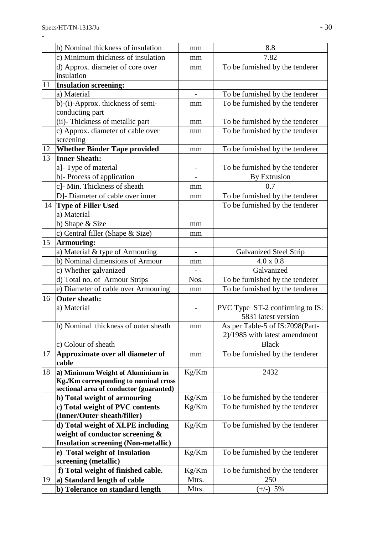|    | b) Nominal thickness of insulation                                         | mm                       | 8.8                             |
|----|----------------------------------------------------------------------------|--------------------------|---------------------------------|
|    | c) Minimum thickness of insulation                                         | mm                       | 7.82                            |
|    | d) Approx. diameter of core over                                           | mm                       | To be furnished by the tenderer |
|    | insulation                                                                 |                          |                                 |
| 11 | <b>Insulation screening:</b>                                               |                          |                                 |
|    | a) Material                                                                | $\overline{\phantom{a}}$ | To be furnished by the tenderer |
|    | b)-(i)-Approx. thickness of semi-                                          | mm                       | To be furnished by the tenderer |
|    | conducting part                                                            |                          |                                 |
|    | (ii)- Thickness of metallic part                                           | mm                       | To be furnished by the tenderer |
|    | c) Approx. diameter of cable over                                          | mm                       | To be furnished by the tenderer |
|    | screening                                                                  |                          |                                 |
| 12 | <b>Whether Binder Tape provided</b>                                        | mm                       | To be furnished by the tenderer |
| 13 | <b>Inner Sheath:</b>                                                       |                          |                                 |
|    | a]- Type of material                                                       | $\overline{\phantom{a}}$ | To be furnished by the tenderer |
|    | b]- Process of application                                                 |                          | By Extrusion                    |
|    | c]- Min. Thickness of sheath                                               | mm                       | 0.7                             |
|    | D]- Diameter of cable over inner                                           | mm                       | To be furnished by the tenderer |
| 14 | <b>Type of Filler Used</b>                                                 |                          | To be furnished by the tenderer |
|    | a) Material                                                                |                          |                                 |
|    | b) Shape & Size                                                            | mm                       |                                 |
|    | c) Central filler (Shape & Size)                                           | mm                       |                                 |
| 15 | <b>Armouring:</b>                                                          |                          |                                 |
|    | a) Material & type of Armouring                                            | $\blacksquare$           | <b>Galvanized Steel Strip</b>   |
|    | b) Nominal dimensions of Armour                                            | mm                       | 4.0 x 0.8                       |
|    | c) Whether galvanized                                                      |                          | Galvanized                      |
|    | d) Total no. of Armour Strips                                              | Nos.                     | To be furnished by the tenderer |
|    | e) Diameter of cable over Armouring                                        | mm                       | To be furnished by the tenderer |
| 16 | <b>Outer sheath:</b>                                                       |                          |                                 |
|    | a) Material                                                                |                          | PVC Type ST-2 confirming to IS: |
|    |                                                                            |                          | 5831 latest version             |
|    | b) Nominal thickness of outer sheath                                       | mm                       | As per Table-5 of IS:7098(Part- |
|    |                                                                            |                          | 2)/1985 with latest amendment   |
|    | c) Colour of sheath                                                        |                          | <b>Black</b>                    |
| 17 | Approximate over all diameter of                                           | mm                       | To be furnished by the tenderer |
|    | cable                                                                      |                          |                                 |
| 18 | a) Minimum Weight of Aluminium in<br>Kg./Km corresponding to nominal cross | Kg/Km                    | 2432                            |
|    | sectional area of conductor (guaranted)                                    |                          |                                 |
|    | b) Total weight of armouring                                               | Kg/Km                    | To be furnished by the tenderer |
|    | c) Total weight of PVC contents                                            | Kg/Km                    | To be furnished by the tenderer |
|    | (Inner/Outer sheath/filler)                                                |                          |                                 |
|    | d) Total weight of XLPE including                                          | Kg/Km                    | To be furnished by the tenderer |
|    | weight of conductor screening &                                            |                          |                                 |
|    | <b>Insulation screening (Non-metallic)</b>                                 |                          |                                 |
|    | e) Total weight of Insulation                                              | Kg/Km                    | To be furnished by the tenderer |
|    | screening (metallic)                                                       |                          |                                 |
|    | f) Total weight of finished cable.                                         | Kg/Km                    | To be furnished by the tenderer |
| 19 | a) Standard length of cable                                                | Mtrs.                    | 250                             |
|    | b) Tolerance on standard length                                            | Mtrs.                    | $(+/-)$ 5%                      |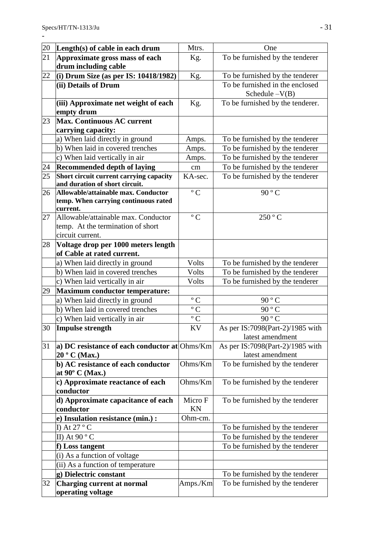| 20 | Length $(s)$ of cable in each drum                                        | Mtrs.                | One                                                  |
|----|---------------------------------------------------------------------------|----------------------|------------------------------------------------------|
| 21 | Approximate gross mass of each                                            | Kg.                  | To be furnished by the tenderer                      |
|    | drum including cable                                                      |                      |                                                      |
| 22 | (i) Drum Size (as per IS: $10418/1982$ )                                  | Kg.                  | To be furnished by the tenderer                      |
|    | (ii) Details of Drum                                                      |                      | To be furnished in the enclosed<br>Schedule $-V(B)$  |
|    | (iii) Approximate net weight of each<br>empty drum                        | Kg.                  | To be furnished by the tenderer.                     |
| 23 | <b>Max. Continuous AC current</b><br>carrying capacity:                   |                      |                                                      |
|    | a) When laid directly in ground                                           | Amps.                | To be furnished by the tenderer                      |
|    | b) When laid in covered trenches                                          | Amps.                | To be furnished by the tenderer                      |
|    | c) When laid vertically in air                                            | Amps.                | To be furnished by the tenderer                      |
| 24 | <b>Recommended depth of laying</b>                                        | cm                   | To be furnished by the tenderer                      |
| 25 | Short circuit current carrying capacity<br>and duration of short circuit. | KA-sec.              | To be furnished by the tenderer                      |
| 26 | Allowable/attainable max. Conductor                                       | $\rm ^{\circ}$ C     | 90 ° C                                               |
|    | temp. When carrying continuous rated<br>current.                          |                      |                                                      |
| 27 | Allowable/attainable max. Conductor<br>temp. At the termination of short  | $\rm ^{\circ}$ C     | 250 °C                                               |
|    | circuit current.                                                          |                      |                                                      |
| 28 | Voltage drop per 1000 meters length<br>of Cable at rated current.         |                      |                                                      |
|    | a) When laid directly in ground                                           | Volts                | To be furnished by the tenderer                      |
|    | b) When laid in covered trenches                                          | Volts                | To be furnished by the tenderer                      |
|    | c) When laid vertically in air                                            | Volts                | To be furnished by the tenderer                      |
| 29 | <b>Maximum conductor temperature:</b>                                     |                      |                                                      |
|    | a) When laid directly in ground                                           | $\rm ^{o}$ C         | 90 ° C                                               |
|    | b) When laid in covered trenches                                          | $\rm ^{\circ}$ C     | 90 ° C                                               |
|    | c) When laid vertically in air                                            | $\overline{\circ}$ C | 90 $\degree$ C                                       |
| 30 | Impulse strength                                                          | <b>KV</b>            | As per IS:7098(Part-2)/1985 with<br>latest amendment |
| 31 | a) DC resistance of each conductor at Ohms/Km                             |                      | As per IS:7098(Part-2)/1985 with                     |
|    | 20 ° C (Max.)                                                             |                      | latest amendment                                     |
|    | b) AC resistance of each conductor<br>at $90^{\circ}$ C (Max.)            | Ohms/Km              | To be furnished by the tenderer                      |
|    | c) Approximate reactance of each<br>conductor                             | Ohms/Km              | To be furnished by the tenderer                      |
|    | d) Approximate capacitance of each                                        | Micro F              | To be furnished by the tenderer                      |
|    | conductor                                                                 | KN                   |                                                      |
|    | e) Insulation resistance (min.) :                                         | Ohm-cm.              |                                                      |
|    | I) At $27 °C$                                                             |                      | To be furnished by the tenderer                      |
|    | II) At $90 °C$                                                            |                      | To be furnished by the tenderer                      |
|    | f) Loss tangent                                                           |                      | To be furnished by the tenderer                      |
|    | (i) As a function of voltage                                              |                      |                                                      |
|    | (ii) As a function of temperature                                         |                      |                                                      |
|    | g) Dielectric constant                                                    |                      | To be furnished by the tenderer                      |
| 32 | Charging current at normal<br>operating voltage                           | Amps./Km             | To be furnished by the tenderer                      |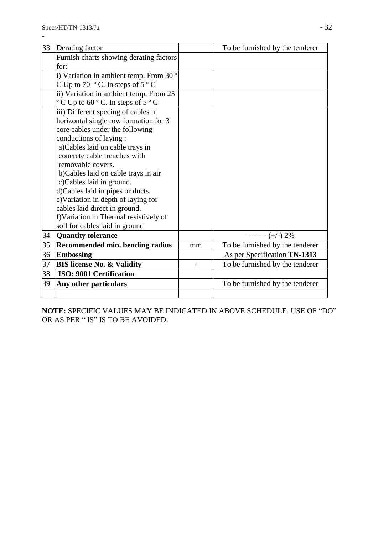| 33 | Derating factor                                             |    | To be furnished by the tenderer |
|----|-------------------------------------------------------------|----|---------------------------------|
|    | Furnish charts showing derating factors                     |    |                                 |
|    | for:                                                        |    |                                 |
|    | i) Variation in ambient temp. From 30°                      |    |                                 |
|    | C Up to 70 $\degree$ C. In steps of 5 $\degree$ C           |    |                                 |
|    | ii) Variation in ambient temp. From 25                      |    |                                 |
|    | $\degree$ C Up to 60 $\degree$ C. In steps of 5 $\degree$ C |    |                                 |
|    | iii) Different specing of cables n                          |    |                                 |
|    | horizontal single row formation for 3                       |    |                                 |
|    | core cables under the following                             |    |                                 |
|    | conductions of laying :                                     |    |                                 |
|    | a)Cables laid on cable trays in                             |    |                                 |
|    | concrete cable trenches with                                |    |                                 |
|    | removable covers.                                           |    |                                 |
|    | b)Cables laid on cable trays in air                         |    |                                 |
|    | c)Cables laid in ground.                                    |    |                                 |
|    | d)Cables laid in pipes or ducts.                            |    |                                 |
|    | e)Variation in depth of laying for                          |    |                                 |
|    | cables laid direct in ground.                               |    |                                 |
|    | f) Variation in Thermal resistively of                      |    |                                 |
|    | soll for cables laid in ground                              |    |                                 |
| 34 | Quantity tolerance                                          |    | -------- $(+/-)$ 2%             |
| 35 | Recommended min. bending radius                             | mm | To be furnished by the tenderer |
| 36 | <b>Embossing</b>                                            |    | As per Specification TN-1313    |
| 37 | <b>BIS license No. &amp; Validity</b>                       |    | To be furnished by the tenderer |
| 38 | <b>ISO: 9001 Certification</b>                              |    |                                 |
| 39 | Any other particulars                                       |    | To be furnished by the tenderer |
|    |                                                             |    |                                 |

**NOTE:** SPECIFIC VALUES MAY BE INDICATED IN ABOVE SCHEDULE. USE OF "DO" OR AS PER " IS" IS TO BE AVOIDED.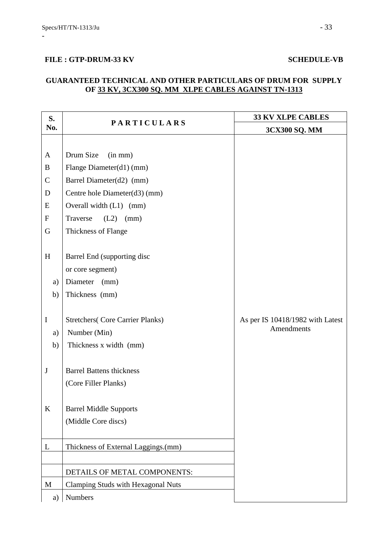# FILE : GTP-DRUM-33 KV SCHEDULE-VB

# **GUARANTEED TECHNICAL AND OTHER PARTICULARS OF DRUM FOR SUPPLY OF 33 KV, 3CX300 SQ. MM XLPE CABLES AGAINST TN-1313**

| S.            |                                         | <b>33 KV XLPE CABLES</b>         |
|---------------|-----------------------------------------|----------------------------------|
| No.           | <b>PARTICULARS</b>                      | 3CX300 SQ. MM                    |
|               |                                         |                                  |
| A             | Drum Size<br>(in mm)                    |                                  |
| B             | Flange Diameter(d1) (mm)                |                                  |
| $\mathcal{C}$ | Barrel Diameter(d2) (mm)                |                                  |
| D             | Centre hole Diameter(d3) (mm)           |                                  |
| E             | Overall width (L1) (mm)                 |                                  |
| ${\rm F}$     | Traverse<br>$(L2)$ (mm)                 |                                  |
| G             | Thickness of Flange                     |                                  |
|               |                                         |                                  |
| H             | Barrel End (supporting disc             |                                  |
|               | or core segment)                        |                                  |
| a)            | Diameter (mm)                           |                                  |
| b)            | Thickness (mm)                          |                                  |
|               |                                         |                                  |
| $\mathbf I$   | <b>Stretchers</b> (Core Carrier Planks) | As per IS 10418/1982 with Latest |
| a)            | Number (Min)                            | Amendments                       |
| b)            | Thickness x width (mm)                  |                                  |
|               |                                         |                                  |
| $\bf J$       | <b>Barrel Battens thickness</b>         |                                  |
|               | (Core Filler Planks)                    |                                  |
|               |                                         |                                  |
| $\bf K$       | <b>Barrel Middle Supports</b>           |                                  |
|               | (Middle Core discs)                     |                                  |
|               |                                         |                                  |
| L             | Thickness of External Laggings.(mm)     |                                  |
|               |                                         |                                  |
|               | DETAILS OF METAL COMPONENTS:            |                                  |
| M             | Clamping Studs with Hexagonal Nuts      |                                  |
| a)            | Numbers                                 |                                  |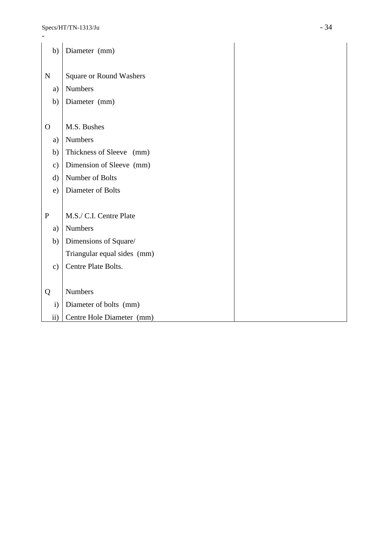| b)            | Diameter (mm)                  |  |
|---------------|--------------------------------|--|
| ${\bf N}$     | <b>Square or Round Washers</b> |  |
| a)            | Numbers                        |  |
|               |                                |  |
| b)            | Diameter (mm)                  |  |
|               |                                |  |
| $\Omega$      | M.S. Bushes                    |  |
| a)            | <b>Numbers</b>                 |  |
| b)            | Thickness of Sleeve (mm)       |  |
| $\mathbf{c})$ | Dimension of Sleeve (mm)       |  |
| $\mathbf{d}$  | Number of Bolts                |  |
| e)            | Diameter of Bolts              |  |
|               |                                |  |
| ${\bf P}$     | M.S./ C.I. Centre Plate        |  |
| a)            | Numbers                        |  |
| b)            | Dimensions of Square/          |  |
|               | Triangular equal sides (mm)    |  |
| $\mathbf{c})$ | Centre Plate Bolts.            |  |
|               |                                |  |
| Q             | <b>Numbers</b>                 |  |
| $\mathbf{i}$  | Diameter of bolts (mm)         |  |
| $\rm ii)$     | Centre Hole Diameter (mm)      |  |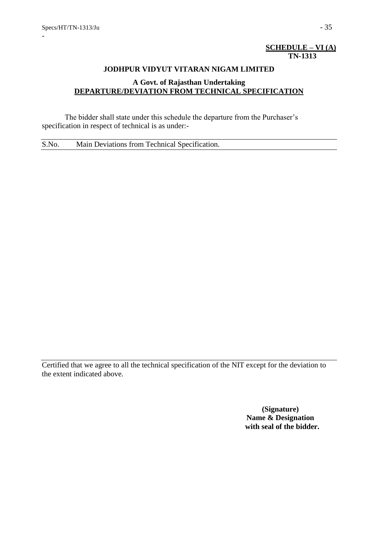# **SCHEDULE – VI (A) TN-1313**

#### **JODHPUR VIDYUT VITARAN NIGAM LIMITED**

# **A Govt. of Rajasthan Undertaking DEPARTURE/DEVIATION FROM TECHNICAL SPECIFICATION**

The bidder shall state under this schedule the departure from the Purchaser's specification in respect of technical is as under:-

S.No. Main Deviations from Technical Specification.

Certified that we agree to all the technical specification of the NIT except for the deviation to the extent indicated above.

> **(Signature) Name & Designation with seal of the bidder.**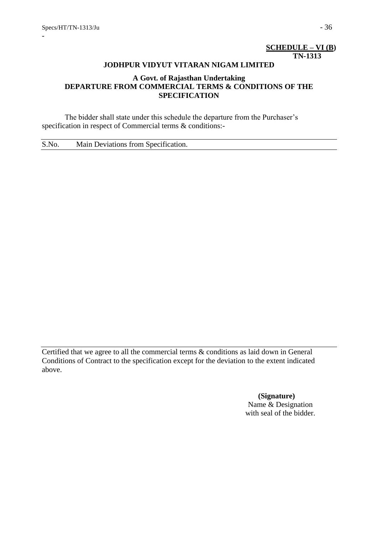# **SCHEDULE – VI (B) TN-1313**

#### **JODHPUR VIDYUT VITARAN NIGAM LIMITED**

# **A Govt. of Rajasthan Undertaking DEPARTURE FROM COMMERCIAL TERMS & CONDITIONS OF THE SPECIFICATION**

The bidder shall state under this schedule the departure from the Purchaser's specification in respect of Commercial terms & conditions:-

S.No. Main Deviations from Specification.

Certified that we agree to all the commercial terms & conditions as laid down in General Conditions of Contract to the specification except for the deviation to the extent indicated above.

> **(Signature)** Name & Designation with seal of the bidder.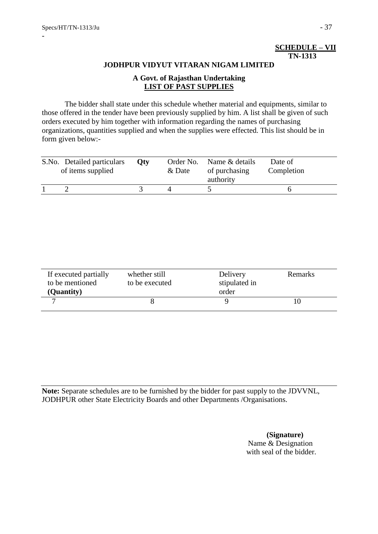# **SCHEDULE – VII TN-1313**

### **JODHPUR VIDYUT VITARAN NIGAM LIMITED**

# **A Govt. of Rajasthan Undertaking LIST OF PAST SUPPLIES**

The bidder shall state under this schedule whether material and equipments, similar to those offered in the tender have been previously supplied by him. A list shall be given of such orders executed by him together with information regarding the names of purchasing organizations, quantities supplied and when the supplies were effected. This list should be in form given below:-

| S.No. Detailed particulars<br>of items supplied | Oty | & Date | Order No. Name & details<br>of purchasing<br>authority | Date of<br>Completion |
|-------------------------------------------------|-----|--------|--------------------------------------------------------|-----------------------|
|                                                 |     |        |                                                        |                       |

| If executed partially<br>to be mentioned<br>(Quantity) | whether still<br>to be executed | Delivery<br>stipulated in<br>order | Remarks |
|--------------------------------------------------------|---------------------------------|------------------------------------|---------|
|                                                        |                                 |                                    |         |

**Note:** Separate schedules are to be furnished by the bidder for past supply to the JDVVNL, JODHPUR other State Electricity Boards and other Departments /Organisations.

> **(Signature)** Name & Designation with seal of the bidder.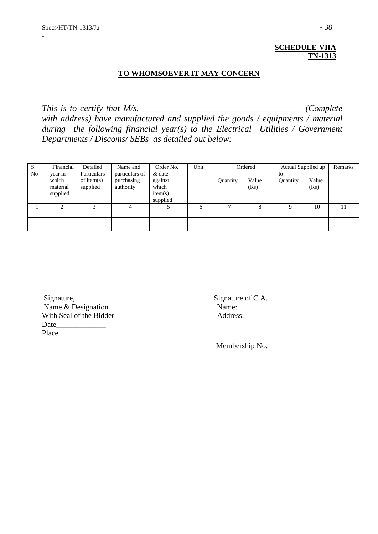# **SCHEDULE-VIIA TN-1313**

### **TO WHOMSOEVER IT MAY CONCERN**

*This is to certify that M/s. \_\_\_\_\_\_\_\_\_\_\_\_\_\_\_\_\_\_\_\_\_\_\_\_\_\_\_\_\_\_\_\_\_\_\_\_ (Complete* 

*with address) have manufactured and supplied the goods / equipments / material during the following financial year(s) to the Electrical Utilities / Government Departments / Discoms/ SEBs as detailed out below:* 

| S.<br>No | Financial<br>year in | Detailed<br>Particulars   | Name and<br>& date      | particulars of | Order No.    |          |       |          | Unit  |      | Ordered | Actual Supplied up<br>to |  | Remarks |
|----------|----------------------|---------------------------|-------------------------|----------------|--------------|----------|-------|----------|-------|------|---------|--------------------------|--|---------|
|          | which                | of item $(s)$<br>supplied | purchasing<br>authority | against        |              | Quantity | Value | Quantity | Value |      |         |                          |  |         |
|          | material<br>supplied | item(s)<br>supplied       | which                   |                |              |          |       | (Rs)     |       | (Rs) |         |                          |  |         |
|          | $\sim$               | $\sim$                    |                         |                | <sub>n</sub> | −        |       |          | 10    | 11   |         |                          |  |         |
|          |                      |                           |                         |                |              |          |       |          |       |      |         |                          |  |         |
|          |                      |                           |                         |                |              |          |       |          |       |      |         |                          |  |         |
|          |                      |                           |                         |                |              |          |       |          |       |      |         |                          |  |         |

Signature, Signature of C.A. Name & Designation Name: With Seal of the Bidder Address: Date\_\_\_\_\_\_\_\_\_\_\_\_\_ Place\_\_\_\_\_\_\_\_\_\_\_\_\_

Membership No.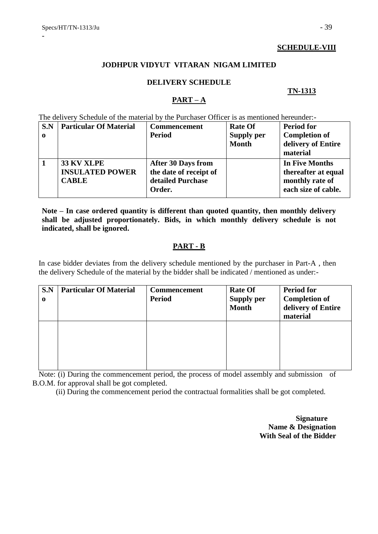# **SCHEDULE-VIII**

# **JODHPUR VIDYUT VITARAN NIGAM LIMITED**

# **DELIVERY SCHEDULE**

# **TN-1313**

# **PART – A**

The delivery Schedule of the material by the Purchaser Officer is as mentioned hereunder:-

| S.N         | <b>Particular Of Material</b> | <b>Commencement</b>       | <b>Rate Of</b> | <b>Period for</b>    |
|-------------|-------------------------------|---------------------------|----------------|----------------------|
| $\mathbf 0$ |                               | <b>Period</b>             | Supply per     | <b>Completion of</b> |
|             |                               |                           | <b>Month</b>   | delivery of Entire   |
|             |                               |                           |                | material             |
|             | <b>33 KV XLPE</b>             | <b>After 30 Days from</b> |                | In Five Months       |
|             | <b>INSULATED POWER</b>        | the date of receipt of    |                | thereafter at equal  |
|             | <b>CABLE</b>                  | detailed Purchase         |                | monthly rate of      |
|             |                               | Order.                    |                | each size of cable.  |

**Note – In case ordered quantity is different than quoted quantity, then monthly delivery shall be adjusted proportionately. Bids, in which monthly delivery schedule is not indicated, shall be ignored.**

# **PART - B**

In case bidder deviates from the delivery schedule mentioned by the purchaser in Part-A , then the delivery Schedule of the material by the bidder shall be indicated / mentioned as under:-

| S.N<br>$\mathbf 0$ | <b>Particular Of Material</b> | <b>Commencement</b><br><b>Period</b> | <b>Rate Of</b><br><b>Supply per</b><br><b>Month</b> | <b>Period for</b><br><b>Completion of</b><br>delivery of Entire<br>material |
|--------------------|-------------------------------|--------------------------------------|-----------------------------------------------------|-----------------------------------------------------------------------------|
|                    |                               |                                      |                                                     |                                                                             |

Note: (i) During the commencement period, the process of model assembly and submission of B.O.M. for approval shall be got completed.

(ii) During the commencement period the contractual formalities shall be got completed.

 **Signature Name & Designation With Seal of the Bidder**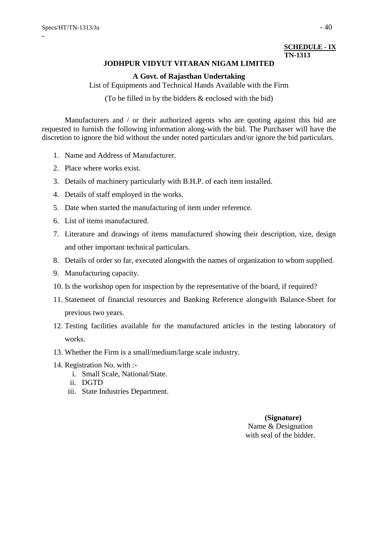## **SCHEDULE - IX TN-1313**

#### **JODHPUR VIDYUT VITARAN NIGAM LIMITED**

#### **A Govt. of Rajasthan Undertaking**

List of Equipments and Technical Hands Available with the Firm

(To be filled in by the bidders & enclosed with the bid)

Manufacturers and / or their authorized agents who are quoting against this bid are requested to furnish the following information along-with the bid. The Purchaser will have the discretion to ignore the bid without the under noted particulars and/or ignore the bid particulars.

- 1. Name and Address of Manufacturer.
- 2. Place where works exist.
- 3. Details of machinery particularly with B.H.P. of each item installed.
- 4. Details of staff employed in the works.
- 5. Date when started the manufacturing of item under reference.
- 6. List of items manufactured.
- 7. Literature and drawings of items manufactured showing their description, size, design and other important technical particulars.
- 8. Details of order so far, executed alongwith the names of organization to whom supplied.
- 9. Manufacturing capacity.
- 10. Is the workshop open for inspection by the representative of the board, if required?
- 11. Statement of financial resources and Banking Reference alongwith Balance-Sheet for previous two years.
- 12. Testing facilities available for the manufactured articles in the testing laboratory of works.
- 13. Whether the Firm is a small/medium/large scale industry.
- 14. Registration No. with :
	- i. Small Scale, National/State.
	- ii. DGTD
	- iii. State Industries Department.

 **(Signature)** Name & Designation with seal of the bidder.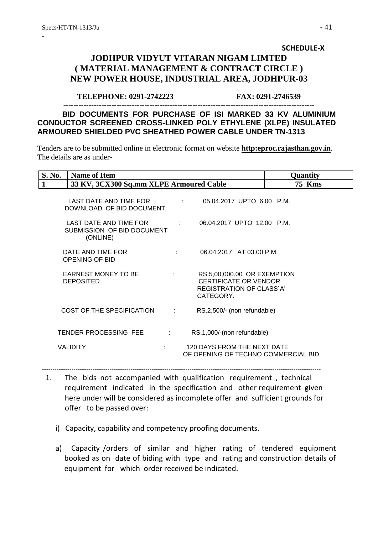# **SCHEDULE-X JODHPUR VIDYUT VITARAN NIGAM LIMTED ( MATERIAL MANAGEMENT & CONTRACT CIRCLE ) NEW POWER HOUSE, INDUSTRIAL AREA, JODHPUR-03**

#### **TELEPHONE: 0291-2742223 FAX: 0291-2746539**

 **BID DOCUMENTS FOR PURCHASE OF ISI MARKED 33 KV ALUMINIUM CONDUCTOR SCREENED CROSS-LINKED POLY ETHYLENE (XLPE) INSULATED ARMOURED SHIELDED PVC SHEATHED POWER CABLE UNDER TN-1313**

---------------------------------------------------------------------------------------------------

Tenders are to be submitted online in electronic format on website **[http:eproc.rajasthan.gov.in](http://www.eproc.rajasthan.gov.in/nicgep/app)**. The details are as under-

| S. No. | <b>Name of Item</b>                                                                                                                        |                      |                                                                                                      | Quantity      |
|--------|--------------------------------------------------------------------------------------------------------------------------------------------|----------------------|------------------------------------------------------------------------------------------------------|---------------|
| 1      | 33 KV, 3CX300 Sq.mm XLPE Armoured Cable                                                                                                    |                      |                                                                                                      | <b>75 Kms</b> |
|        | LAST DATE AND TIME FOR THE RESERVE THAT AND THE RESERVE THAT AND THE RESERVE THAT AND THE RESERVE THAT AND THE<br>DOWNLOAD OF BID DOCUMENT |                      | 05.04.2017 UPTO 6.00 P.M.                                                                            |               |
|        | LAST DATE AND TIME FOR<br>SUBMISSION OF BID DOCUMENT<br>(ONLINE)                                                                           | <b>Service State</b> | 06.04.2017 UPTO 12.00 P.M.                                                                           |               |
|        | DATE AND TIME FOR<br>OPENING OF BID                                                                                                        |                      | diam'r.<br>06.04.2017 AT 03.00 P.M.                                                                  |               |
|        | <b>EARNEST MONEY TO BE</b><br><b>DEPOSITED</b>                                                                                             | ÷                    | RS.5,00,000.00 OR EXEMPTION<br><b>CERTIFICATE OR VENDOR</b><br>REGISTRATION OF CLASS`A'<br>CATEGORY. |               |
|        | COST OF THE SPECIFICATION                                                                                                                  | diam'r.              | RS.2,500/- (non refundable)                                                                          |               |
|        | TENDER PROCESSING FEE                                                                                                                      | diam'r.              | RS.1,000/-(non refundable)                                                                           |               |
|        | <b>VALIDITY</b>                                                                                                                            |                      | 120 DAYS FROM THE NEXT DATE<br>OF OPENING OF TECHNO COMMERCIAL BID.                                  |               |

 1. The bids not accompanied with qualification requirement , technical requirement indicated in the specification and other requirement given here under will be considered as incomplete offer and sufficient grounds for offer to be passed over:

------------------------------------------------------------------------------------------------------------------------------------

- i) Capacity, capability and competency proofing documents.
- a) Capacity /orders of similar and higher rating of tendered equipment booked as on date of biding with type and rating and construction details of equipment for which order received be indicated.